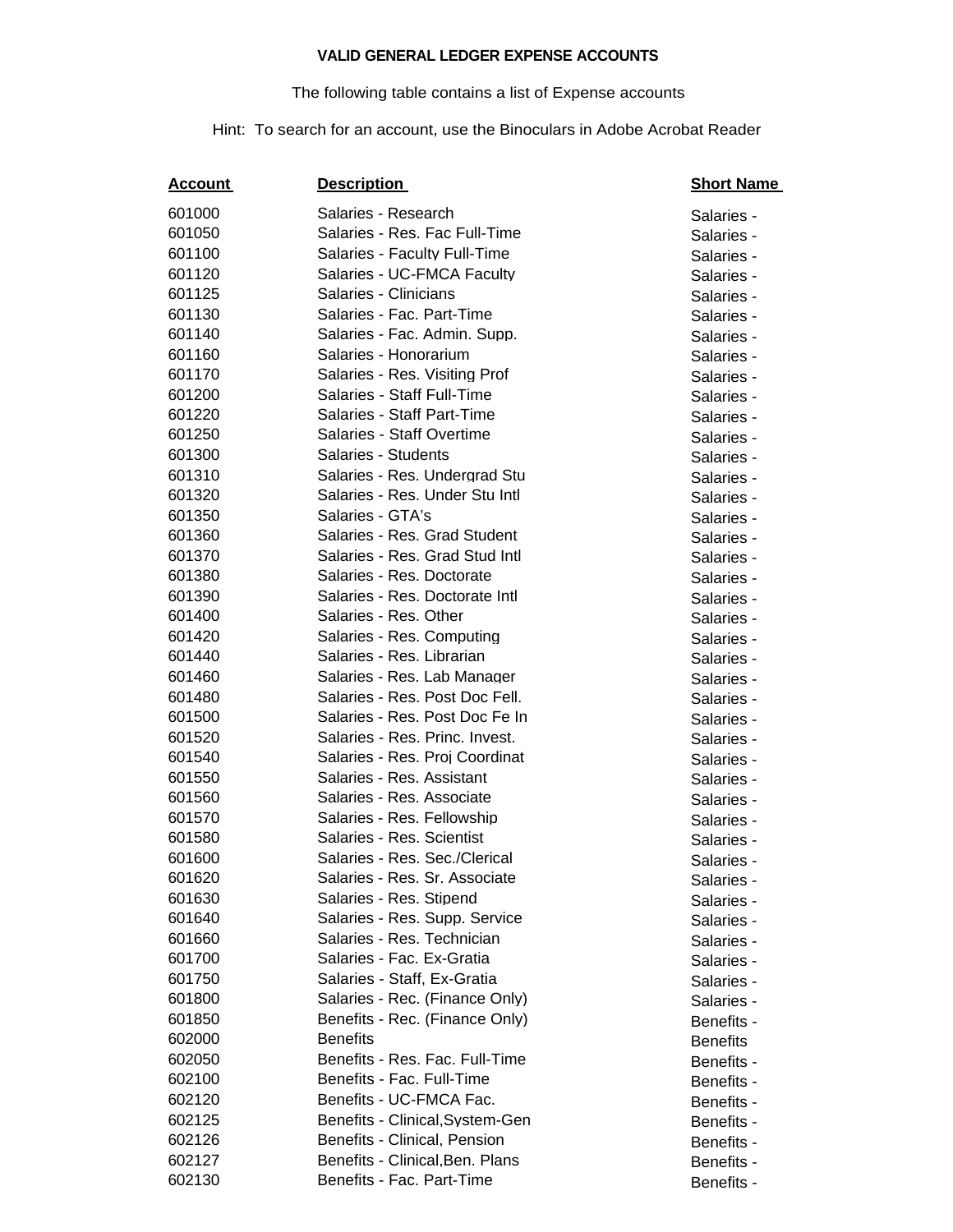## **VALID GENERAL LEDGER EXPENSE ACCOUNTS**

## The following table contains a list of Expense accounts

## Hint: To search for an account, use the Binoculars in Adobe Acrobat Reader

| <u>Account</u> | <b>Description</b>              | <b>Short Name</b> |
|----------------|---------------------------------|-------------------|
| 601000         | Salaries - Research             | Salaries -        |
| 601050         | Salaries - Res. Fac Full-Time   | Salaries -        |
| 601100         | Salaries - Faculty Full-Time    | Salaries -        |
| 601120         | Salaries - UC-FMCA Faculty      | Salaries -        |
| 601125         | Salaries - Clinicians           | Salaries -        |
| 601130         | Salaries - Fac. Part-Time       | Salaries -        |
| 601140         | Salaries - Fac. Admin. Supp.    | Salaries -        |
| 601160         | Salaries - Honorarium           | Salaries -        |
| 601170         | Salaries - Res. Visiting Prof   | Salaries -        |
| 601200         | Salaries - Staff Full-Time      | Salaries -        |
| 601220         | Salaries - Staff Part-Time      | Salaries -        |
| 601250         | Salaries - Staff Overtime       | Salaries -        |
| 601300         | Salaries - Students             | Salaries -        |
| 601310         | Salaries - Res. Undergrad Stu   | Salaries -        |
| 601320         | Salaries - Res. Under Stu Intl  | Salaries -        |
| 601350         | Salaries - GTA's                | Salaries -        |
| 601360         | Salaries - Res. Grad Student    | Salaries -        |
| 601370         | Salaries - Res. Grad Stud Intl. | Salaries -        |
| 601380         | Salaries - Res. Doctorate       | Salaries -        |
| 601390         | Salaries - Res. Doctorate Intl. | Salaries -        |
| 601400         | Salaries - Res. Other           | Salaries -        |
| 601420         | Salaries - Res. Computing       | Salaries -        |
| 601440         | Salaries - Res. Librarian       | Salaries -        |
| 601460         | Salaries - Res. Lab Manager     | Salaries -        |
| 601480         | Salaries - Res. Post Doc Fell.  | Salaries -        |
| 601500         | Salaries - Res. Post Doc Fe In  | Salaries -        |
| 601520         | Salaries - Res. Princ. Invest.  | Salaries -        |
| 601540         | Salaries - Res. Proj Coordinat  | Salaries -        |
| 601550         | Salaries - Res. Assistant       | Salaries -        |
| 601560         | Salaries - Res. Associate       | Salaries -        |
| 601570         | Salaries - Res. Fellowship      | Salaries -        |
| 601580         | Salaries - Res. Scientist       | Salaries -        |
| 601600         | Salaries - Res. Sec./Clerical   | Salaries -        |
| 601620         | Salaries - Res. Sr. Associate   | Salaries -        |
| 601630         | Salaries - Res. Stipend         | Salaries -        |
| 601640         | Salaries - Res. Supp. Service   | Salaries -        |
| 601660         | Salaries - Res. Technician      | Salaries -        |
| 601700         | Salaries - Fac. Ex-Gratia       | Salaries -        |
| 601750         | Salaries - Staff, Ex-Gratia     | Salaries -        |
| 601800         | Salaries - Rec. (Finance Only)  | Salaries -        |
| 601850         | Benefits - Rec. (Finance Only)  | Benefits -        |
| 602000         | <b>Benefits</b>                 | <b>Benefits</b>   |
| 602050         | Benefits - Res. Fac. Full-Time  | Benefits -        |
| 602100         | Benefits - Fac. Full-Time       | Benefits -        |
| 602120         | Benefits - UC-FMCA Fac.         | Benefits -        |
| 602125         | Benefits - Clinical, System-Gen | Benefits -        |
| 602126         | Benefits - Clinical, Pension    | Benefits -        |
| 602127         | Benefits - Clinical, Ben. Plans | Benefits -        |
| 602130         | Benefits - Fac. Part-Time       | Benefits -        |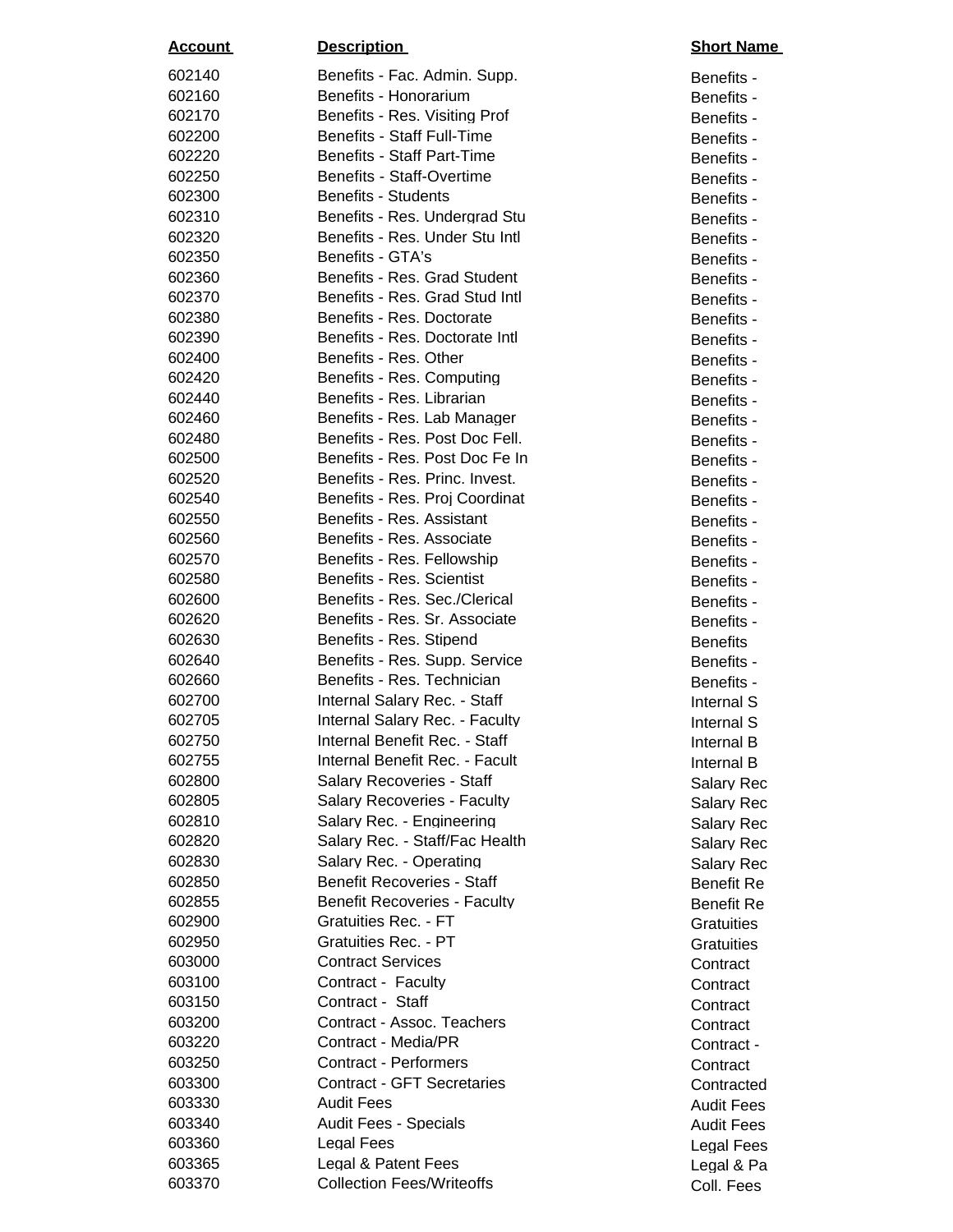| <u>Account</u>   | <b>Description</b>                                              | <b>Short Nan</b>         |
|------------------|-----------------------------------------------------------------|--------------------------|
| 602140           | Benefits - Fac. Admin. Supp.                                    | Benefits -               |
| 602160           | Benefits - Honorarium                                           | Benefits -               |
| 602170           | Benefits - Res. Visiting Prof                                   | Benefits -               |
| 602200           | <b>Benefits - Staff Full-Time</b>                               | Benefits -               |
| 602220           | <b>Benefits - Staff Part-Time</b>                               | Benefits -               |
| 602250           | Benefits - Staff-Overtime                                       | Benefits -               |
| 602300           | <b>Benefits - Students</b>                                      | Benefits -               |
| 602310           | Benefits - Res. Undergrad Stu                                   | Benefits -               |
| 602320           | Benefits - Res. Under Stu Intl                                  | Benefits -               |
| 602350           | Benefits - GTA's                                                | Benefits -               |
| 602360           | Benefits - Res. Grad Student                                    | Benefits -               |
| 602370           | Benefits - Res. Grad Stud Intl                                  | Benefits -               |
| 602380           | Benefits - Res. Doctorate                                       | Benefits -               |
| 602390           | Benefits - Res. Doctorate Intl                                  | Benefits -               |
| 602400           | Benefits - Res. Other                                           | Benefits -               |
| 602420           | Benefits - Res. Computing                                       | Benefits -               |
| 602440           | Benefits - Res. Librarian                                       | Benefits -               |
| 602460           | Benefits - Res. Lab Manager                                     | Benefits -               |
| 602480           | Benefits - Res. Post Doc Fell.                                  | Benefits -               |
| 602500           | Benefits - Res. Post Doc Fe In                                  | Benefits -               |
| 602520           | Benefits - Res. Princ. Invest.                                  | Benefits -               |
| 602540           | Benefits - Res. Proj Coordinat                                  | Benefits -               |
| 602550           | Benefits - Res. Assistant                                       | Benefits -               |
| 602560           | Benefits - Res. Associate                                       | Benefits -               |
| 602570           | Benefits - Res. Fellowship                                      | Benefits -               |
| 602580           | Benefits - Res. Scientist                                       | Benefits -               |
| 602600           | Benefits - Res. Sec./Clerical                                   | Benefits -               |
| 602620           | Benefits - Res. Sr. Associate                                   | Benefits -               |
| 602630           | Benefits - Res. Stipend                                         | <b>Benefits</b>          |
| 602640           | Benefits - Res. Supp. Service                                   | Benefits -               |
| 602660           | Benefits - Res. Technician                                      | Benefits -               |
| 602700           | Internal Salary Rec. - Staff                                    | Internal S               |
| 602705           | Internal Salary Rec. - Faculty<br>Internal Benefit Rec. - Staff | Internal S               |
| 602750<br>602755 | Internal Benefit Rec. - Facult                                  | Internal B               |
| 602800           | <b>Salary Recoveries - Staff</b>                                | Internal B               |
| 602805           | <b>Salary Recoveries - Faculty</b>                              | Salary Red               |
| 602810           | Salary Rec. - Engineering                                       | Salary Red               |
| 602820           | Salary Rec. - Staff/Fac Health                                  | Salary Red<br>Salary Red |
| 602830           | Salary Rec. - Operating                                         | Salary Red               |
| 602850           | <b>Benefit Recoveries - Staff</b>                               | <b>Benefit Re</b>        |
| 602855           | <b>Benefit Recoveries - Faculty</b>                             | <b>Benefit Re</b>        |
| 602900           | Gratuities Rec. - FT                                            | Gratuities               |
| 602950           | Gratuities Rec. - PT                                            | Gratuities               |
| 603000           | <b>Contract Services</b>                                        | Contract                 |
| 603100           | Contract - Faculty                                              | Contract                 |
| 603150           | Contract - Staff                                                | Contract                 |
| 603200           | Contract - Assoc. Teachers                                      | Contract                 |
| 603220           | Contract - Media/PR                                             | Contract -               |
| 603250           | <b>Contract - Performers</b>                                    | Contract                 |
| 603300           | <b>Contract - GFT Secretaries</b>                               | Contracted               |
| 603330           | <b>Audit Fees</b>                                               | <b>Audit Fees</b>        |
| 603340           | <b>Audit Fees - Specials</b>                                    | <b>Audit Fees</b>        |
| 603360           | Legal Fees                                                      | Legal Fees               |
| 603365           | Legal & Patent Fees                                             | Legal & Pa               |
| 603370           | <b>Collection Fees/Writeoffs</b>                                | Coll. Fees               |

Benefits -Benefits -Benefits -Benefits -Benefits -Benefits -Benefits -Benefits -Benefits -Benefits -Benefits -Benefits -Benefits -Benefits -Benefits -Benefits -Benefits -Benefits -Benefits -Benefits -Internal S Internal B Internal B Salary Rec Salary Rec Salary Rec. Salary Rec. Salary Rec. **Benefit Re Gratuities** Contract -Contracted **Audit Fees Audit Fees Legal Fees** Legal & Pa Coll. Fees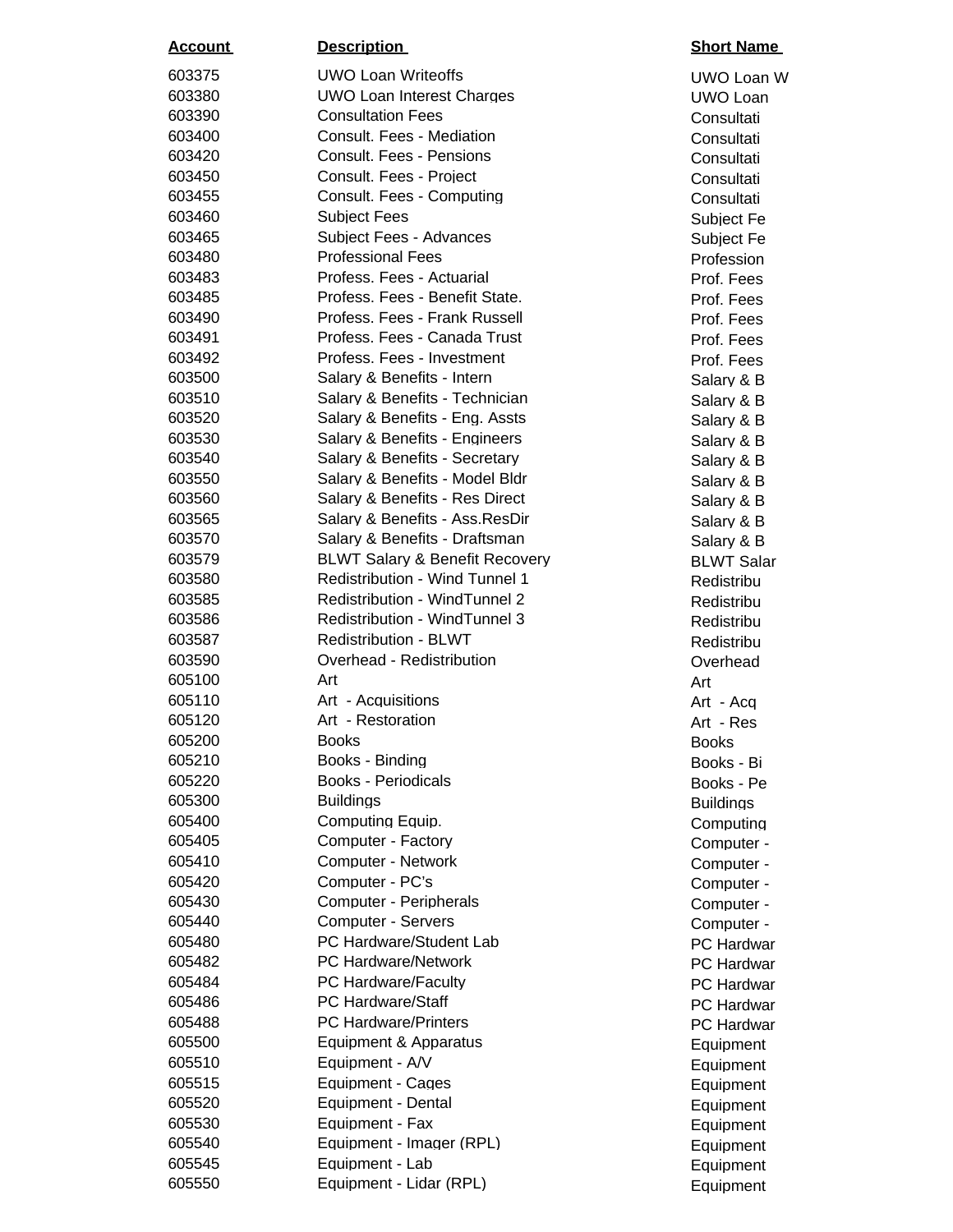| <u>Account</u>   | <b>Description</b>                        | <b>Short Name</b>        |
|------------------|-------------------------------------------|--------------------------|
| 603375           | <b>UWO Loan Writeoffs</b>                 | UWO Loan W               |
| 603380           | <b>UWO Loan Interest Charges</b>          | UWO Loan                 |
| 603390           | <b>Consultation Fees</b>                  | Consultati               |
| 603400           | Consult. Fees - Mediation                 | Consultati               |
| 603420           | Consult. Fees - Pensions                  | Consultati               |
| 603450           | Consult. Fees - Project                   | Consultati               |
| 603455           | Consult. Fees - Computing                 | Consultati               |
| 603460           | <b>Subject Fees</b>                       | Subject Fe               |
| 603465           | <b>Subject Fees - Advances</b>            | Subject Fe               |
| 603480           | <b>Professional Fees</b>                  | Profession               |
| 603483           | Profess. Fees - Actuarial                 | Prof. Fees               |
| 603485           | Profess. Fees - Benefit State.            | Prof. Fees               |
| 603490           | Profess. Fees - Frank Russell             | Prof. Fees               |
| 603491           | Profess. Fees - Canada Trust              | Prof. Fees               |
| 603492           | Profess. Fees - Investment                | Prof. Fees               |
| 603500           | Salary & Benefits - Intern                | Salary & B               |
| 603510           | Salary & Benefits - Technician            | Salary & B               |
| 603520           | Salary & Benefits - Eng. Assts            | Salary & B               |
| 603530           | Salary & Benefits - Engineers             | Salary & B               |
| 603540           | Salary & Benefits - Secretary             | Salary & B               |
| 603550           | Salary & Benefits - Model Bldr            | Salary & B               |
| 603560           | Salary & Benefits - Res Direct            | Salary & B               |
| 603565           | Salary & Benefits - Ass. ResDir           | Salary & B               |
| 603570           | Salary & Benefits - Draftsman             | Salary & B               |
| 603579           | <b>BLWT Salary &amp; Benefit Recovery</b> | <b>BLWT Salar</b>        |
| 603580           | <b>Redistribution - Wind Tunnel 1</b>     | Redistribu               |
| 603585           | <b>Redistribution - WindTunnel 2</b>      | Redistribu               |
| 603586           | <b>Redistribution - WindTunnel 3</b>      | Redistribu               |
| 603587           | <b>Redistribution - BLWT</b>              | Redistribu               |
| 603590           | Overhead - Redistribution                 | Overhead                 |
| 605100           | Art                                       | Art                      |
| 605110           | Art - Acquisitions                        | Art - Acg                |
| 605120           | Art - Restoration                         | Art - Res                |
| 605200           | <b>Books</b>                              | <b>Books</b>             |
| 605210           | Books - Binding                           | Books - Bi               |
| 605220           | <b>Books - Periodicals</b>                | Books - Pe               |
| 605300           | <b>Buildings</b>                          | <b>Buildings</b>         |
| 605400           | Computing Equip.<br>Computer - Factory    | Computing                |
| 605405<br>605410 | <b>Computer - Network</b>                 | Computer -               |
| 605420           | Computer - PC's                           | Computer -               |
| 605430           | Computer - Peripherals                    | Computer -               |
| 605440           | <b>Computer - Servers</b>                 | Computer -               |
| 605480           | PC Hardware/Student Lab                   | Computer -               |
| 605482           | <b>PC Hardware/Network</b>                | PC Hardwar               |
| 605484           | PC Hardware/Faculty                       | PC Hardwar<br>PC Hardwar |
| 605486           | <b>PC Hardware/Staff</b>                  | PC Hardwar               |
| 605488           | <b>PC Hardware/Printers</b>               | PC Hardwar               |
| 605500           | Equipment & Apparatus                     |                          |
| 605510           | Equipment - A/V                           | Equipment                |
| 605515           | Equipment - Cages                         | Equipment<br>Equipment   |
| 605520           | Equipment - Dental                        | Equipment                |
| 605530           | Equipment - Fax                           | Equipment                |
| 605540           | Equipment - Imager (RPL)                  | Equipment                |
| 605545           | Equipment - Lab                           | Equipment                |
| 605550           | Equipment - Lidar (RPL)                   | Equipment                |
|                  |                                           |                          |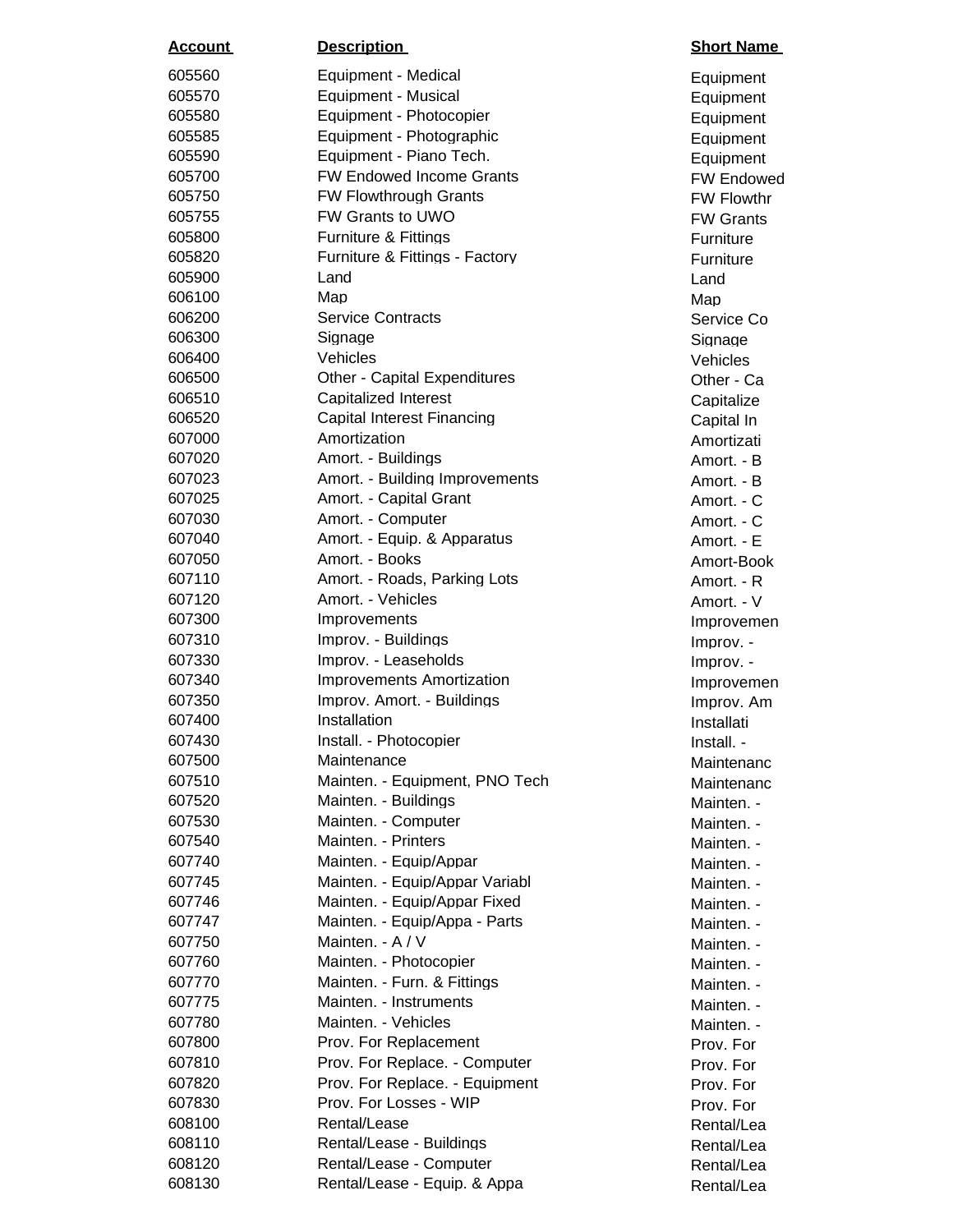| <u>Account</u> | <b>Description</b>                  | <b>Short Name</b> |
|----------------|-------------------------------------|-------------------|
| 605560         | Equipment - Medical                 | Equipment         |
| 605570         | Equipment - Musical                 | Equipment         |
| 605580         | Equipment - Photocopier             | Equipment         |
| 605585         | Equipment - Photographic            | Equipment         |
| 605590         | Equipment - Piano Tech.             | Equipment         |
| 605700         | <b>FW Endowed Income Grants</b>     | <b>FW Endowed</b> |
| 605750         | <b>FW Flowthrough Grants</b>        | <b>FW Flowthr</b> |
| 605755         | <b>FW Grants to UWO</b>             | <b>FW Grants</b>  |
| 605800         | <b>Furniture &amp; Fittings</b>     | Furniture         |
| 605820         | Furniture & Fittings - Factory      | Furniture         |
| 605900         | Land                                | Land              |
| 606100         | Map                                 | Map               |
| 606200         | <b>Service Contracts</b>            | Service Co        |
| 606300         | Signage                             | Signage           |
| 606400         | Vehicles                            | Vehicles          |
| 606500         | <b>Other - Capital Expenditures</b> | Other - Ca        |
| 606510         | Capitalized Interest                | Capitalize        |
| 606520         | Capital Interest Financing          | Capital In        |
| 607000         | Amortization                        | Amortizati        |
| 607020         | Amort. - Buildings                  | Amort. - B        |
| 607023         | Amort. - Building Improvements      | Amort. - B        |
| 607025         | Amort. - Capital Grant              | Amort. - C        |
| 607030         | Amort. - Computer                   | Amort. - C        |
| 607040         | Amort. - Equip. & Apparatus         | Amort. - E        |
| 607050         | Amort. - Books                      | Amort-Book        |
| 607110         | Amort. - Roads, Parking Lots        | Amort. - R        |
| 607120         | Amort. - Vehicles                   | Amort. - V        |
| 607300         | Improvements                        | Improvemen        |
| 607310         | Improv. - Buildings                 | Improv. -         |
| 607330         | Improv. - Leaseholds                | Improv. -         |
| 607340         | <b>Improvements Amortization</b>    | Improvemen        |
| 607350         | Improv. Amort. - Buildings          | Improv. Am        |
| 607400         | Installation                        | Installati        |
| 607430         | Install. - Photocopier              | Install. -        |
| 607500         | Maintenance                         | Maintenanc        |
| 607510         | Mainten. - Equipment, PNO Tech      | Maintenanc        |
| 607520         | Mainten. - Buildings                | Mainten. -        |
| 607530         | Mainten. - Computer                 | Mainten. -        |
| 607540         | Mainten. - Printers                 | Mainten. -        |
| 607740         | Mainten. - Equip/Appar              | Mainten. -        |
| 607745         | Mainten. - Equip/Appar Variabl      | Mainten. -        |
| 607746         | Mainten. - Equip/Appar Fixed        | Mainten. -        |
| 607747         | Mainten. - Equip/Appa - Parts       | Mainten. -        |
| 607750         | Mainten. - A / V                    | Mainten. -        |
| 607760         | Mainten. - Photocopier              | Mainten. -        |
| 607770         | Mainten. - Furn. & Fittings         | Mainten. -        |
| 607775         | Mainten. - Instruments              | Mainten. -        |
| 607780         | Mainten. - Vehicles                 | Mainten. -        |
| 607800         | Prov. For Replacement               | Prov. For         |
| 607810         | Prov. For Replace. - Computer       | Prov. For         |
| 607820         | Prov. For Replace. - Equipment      | Prov. For         |
| 607830         | Prov. For Losses - WIP              | Prov. For         |
| 608100         | Rental/Lease                        | Rental/Lea        |
| 608110         | Rental/Lease - Buildings            | Rental/Lea        |
| 608120         | Rental/Lease - Computer             | Rental/Lea        |
| 608130         | Rental/Lease - Equip. & Appa        | Rental/Lea        |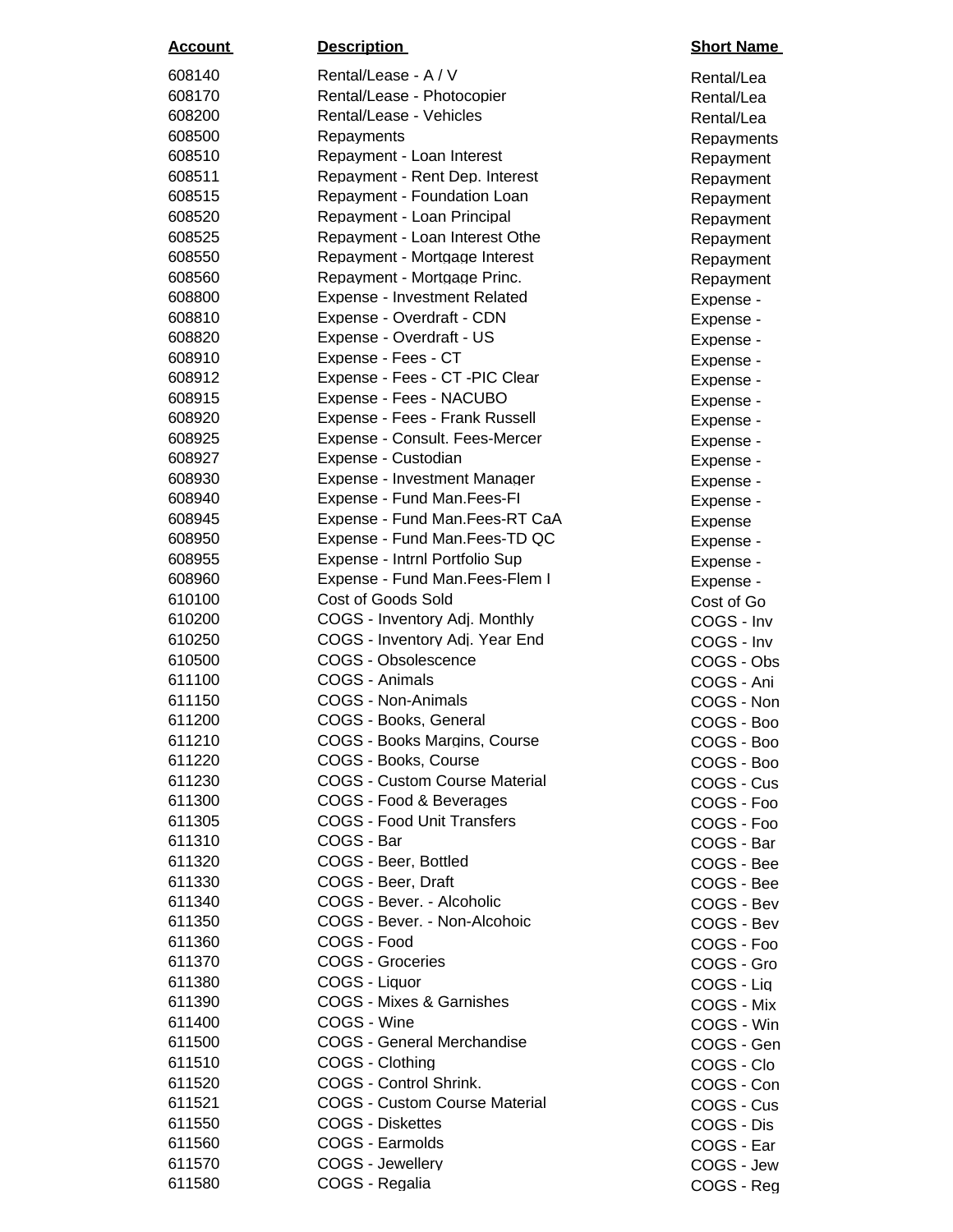| <u>Account</u>   | <b>Description</b>                    | <b>Short Name</b>        |
|------------------|---------------------------------------|--------------------------|
| 608140           | Rental/Lease - A / V                  | Rental/Lea               |
| 608170           | Rental/Lease - Photocopier            | Rental/Lea               |
| 608200           | Rental/Lease - Vehicles               | Rental/Lea               |
| 608500           | Repayments                            | Repayments               |
| 608510           | Repayment - Loan Interest             | Repayment                |
| 608511           | Repayment - Rent Dep. Interest        | Repayment                |
| 608515           | Repayment - Foundation Loan           | Repayment                |
| 608520           | Repayment - Loan Principal            | Repayment                |
| 608525           | Repayment - Loan Interest Othe        | Repayment                |
| 608550           | Repayment - Mortgage Interest         | Repayment                |
| 608560           | Repayment - Mortgage Princ.           | Repayment                |
| 608800           | Expense - Investment Related          | Expense -                |
| 608810           | Expense - Overdraft - CDN             | Expense -                |
| 608820           | Expense - Overdraft - US              | Expense -                |
| 608910           | Expense - Fees - CT                   | Expense -                |
| 608912           | Expense - Fees - CT - PIC Clear       | Expense -                |
| 608915           | Expense - Fees - NACUBO               | Expense -                |
| 608920           | Expense - Fees - Frank Russell        | Expense -                |
| 608925           | Expense - Consult. Fees-Mercer        | Expense -                |
| 608927           | Expense - Custodian                   | Expense -                |
| 608930           | Expense - Investment Manager          | Expense -                |
| 608940           | Expense - Fund Man.Fees-Fl            | Expense -                |
| 608945           | Expense - Fund Man. Fees-RT CaA       | Expense                  |
| 608950           | Expense - Fund Man. Fees-TD QC        | Expense -                |
| 608955           | Expense - Intrnl Portfolio Sup        | Expense -                |
| 608960           | Expense - Fund Man.Fees-Flem I        | Expense -                |
| 610100           | <b>Cost of Goods Sold</b>             | Cost of Go               |
| 610200           | COGS - Inventory Adj. Monthly         | COGS - Inv               |
| 610250           | COGS - Inventory Adj. Year End        | COGS - Inv               |
| 610500           | COGS - Obsolescence<br>COGS - Animals | COGS - Obs               |
| 611100<br>611150 | COGS - Non-Animals                    | COGS - Ani               |
| 611200           | COGS - Books, General                 | COGS - Non               |
| 611210           | COGS - Books Margins, Course          | COGS - Boo               |
| 611220           | COGS - Books, Course                  | COGS - Boo<br>COGS - Boo |
| 611230           | <b>COGS - Custom Course Material</b>  | COGS - Cus               |
| 611300           | COGS - Food & Beverages               | COGS - Foo               |
| 611305           | <b>COGS - Food Unit Transfers</b>     | COGS - Foo               |
| 611310           | COGS - Bar                            | COGS - Bar               |
| 611320           | COGS - Beer, Bottled                  | COGS - Bee               |
| 611330           | COGS - Beer, Draft                    | COGS - Bee               |
| 611340           | COGS - Bever. - Alcoholic             | COGS - Bev               |
| 611350           | COGS - Bever. - Non-Alcohoic          | COGS - Bev               |
| 611360           | COGS - Food                           | COGS - Foo               |
| 611370           | <b>COGS - Groceries</b>               | COGS - Gro               |
| 611380           | COGS - Liquor                         | COGS - Liq               |
| 611390           | <b>COGS - Mixes &amp; Garnishes</b>   | COGS - Mix               |
| 611400           | COGS - Wine                           | COGS - Win               |
| 611500           | <b>COGS - General Merchandise</b>     | COGS - Gen               |
| 611510           | COGS - Clothing                       | COGS - Clo               |
| 611520           | <b>COGS - Control Shrink.</b>         | COGS - Con               |
| 611521           | <b>COGS - Custom Course Material</b>  | COGS - Cus               |
| 611550           | <b>COGS - Diskettes</b>               | COGS - Dis               |
| 611560           | COGS - Earmolds                       | COGS - Ear               |
| 611570           | COGS - Jewellery                      | COGS - Jew               |
| 611580           | COGS - Regalia                        | COGS - Reg               |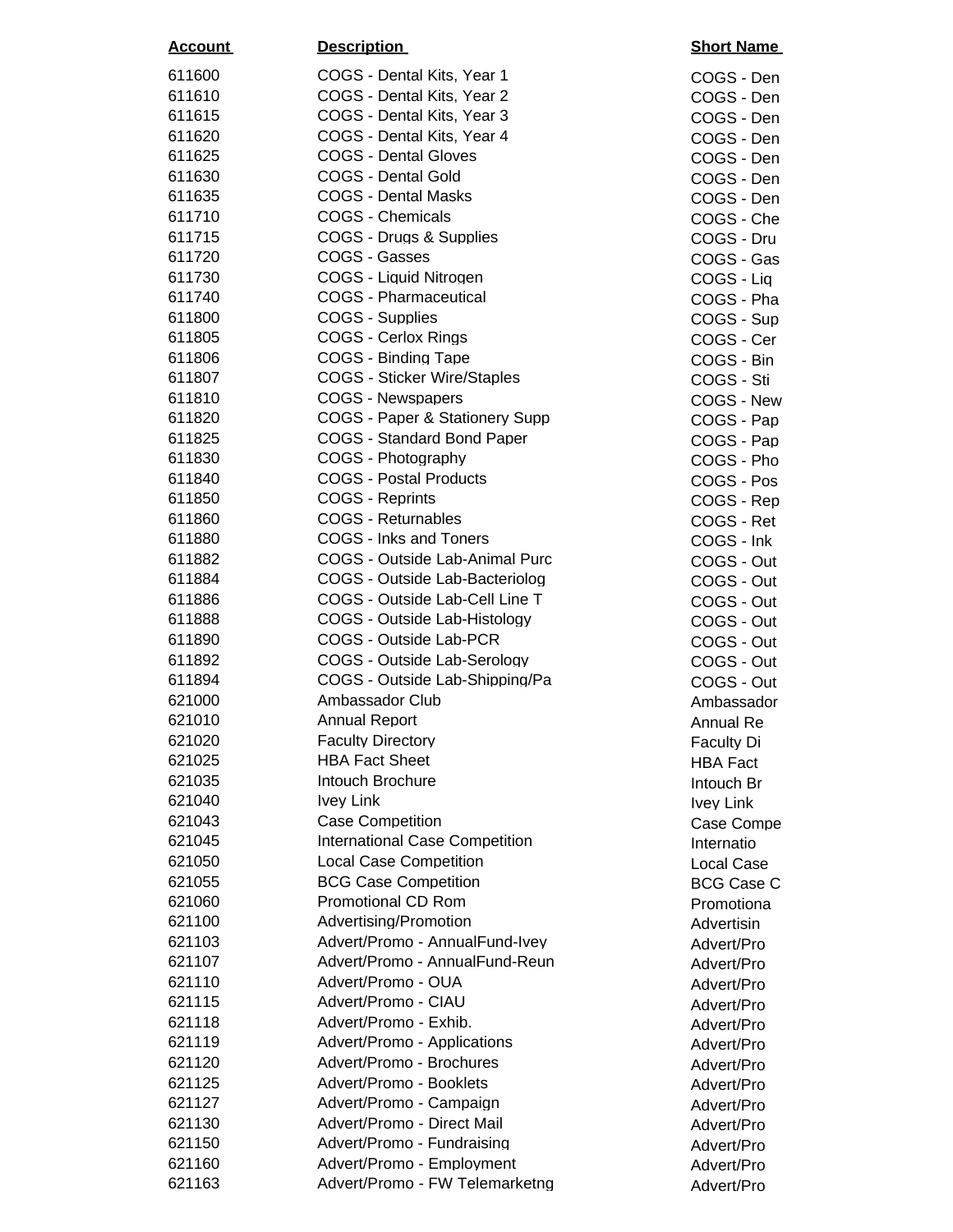| <u>Account</u>   | <b>Description</b>                                               | <b>Short Name</b> |
|------------------|------------------------------------------------------------------|-------------------|
| 611600           | COGS - Dental Kits, Year 1                                       | COGS - Den        |
| 611610           | COGS - Dental Kits, Year 2                                       | COGS - Den        |
| 611615           | COGS - Dental Kits, Year 3                                       | COGS - Den        |
| 611620           | COGS - Dental Kits, Year 4                                       | COGS - Den        |
| 611625           | <b>COGS - Dental Gloves</b>                                      | COGS - Den        |
| 611630           | <b>COGS - Dental Gold</b>                                        | COGS - Den        |
| 611635           | <b>COGS - Dental Masks</b>                                       | COGS - Den        |
| 611710           | <b>COGS - Chemicals</b>                                          | COGS - Che        |
| 611715           | COGS - Drugs & Supplies                                          | COGS - Dru        |
| 611720           | COGS - Gasses                                                    | COGS - Gas        |
| 611730           | COGS - Liquid Nitrogen                                           | COGS - Liq        |
| 611740           | <b>COGS - Pharmaceutical</b>                                     | COGS - Pha        |
| 611800           | COGS - Supplies                                                  | COGS - Sup        |
| 611805           | COGS - Cerlox Rings                                              | COGS - Cer        |
| 611806           | COGS - Binding Tape                                              | COGS - Bin        |
| 611807           | <b>COGS - Sticker Wire/Staples</b>                               | COGS - Sti        |
| 611810           | <b>COGS - Newspapers</b>                                         | COGS - New        |
| 611820           | COGS - Paper & Stationery Supp                                   | COGS - Pap        |
| 611825           | <b>COGS - Standard Bond Paper</b>                                | COGS - Pap        |
| 611830           | COGS - Photography                                               | COGS - Pho        |
| 611840           | <b>COGS - Postal Products</b>                                    | COGS - Pos        |
| 611850           | <b>COGS - Reprints</b>                                           | COGS - Rep        |
| 611860           | <b>COGS - Returnables</b>                                        | COGS - Ret        |
| 611880           | COGS - Inks and Toners                                           | COGS - Ink        |
| 611882           | COGS - Outside Lab-Animal Purc                                   | COGS - Out        |
| 611884           | COGS - Outside Lab-Bacteriolog                                   | COGS - Out        |
| 611886           | COGS - Outside Lab-Cell Line T                                   | COGS - Out        |
| 611888           | COGS - Outside Lab-Histology                                     | COGS - Out        |
| 611890           | COGS - Outside Lab-PCR                                           | COGS - Out        |
| 611892           | COGS - Outside Lab-Serology                                      | COGS - Out        |
| 611894           | COGS - Outside Lab-Shipping/Pa                                   | COGS - Out        |
| 621000           | Ambassador Club                                                  | Ambassador        |
| 621010           | <b>Annual Report</b>                                             | <b>Annual Re</b>  |
| 621020           | <b>Faculty Directory</b>                                         | Faculty Di        |
| 621025           | <b>HBA Fact Sheet</b>                                            | <b>HBA Fact</b>   |
| 621035           | Intouch Brochure                                                 | Intouch Br        |
| 621040           | <b>Ivey Link</b>                                                 | <b>Ivey Link</b>  |
| 621043           | <b>Case Competition</b>                                          | Case Compe        |
| 621045           | <b>International Case Competition</b>                            | Internatio        |
| 621050           | <b>Local Case Competition</b>                                    | <b>Local Case</b> |
| 621055           | <b>BCG Case Competition</b>                                      | <b>BCG Case C</b> |
| 621060           | <b>Promotional CD Rom</b>                                        | Promotiona        |
| 621100           | Advertising/Promotion                                            | Advertisin        |
| 621103<br>621107 | Advert/Promo - AnnualFund-Ivey<br>Advert/Promo - AnnualFund-Reun | Advert/Pro        |
| 621110           | Advert/Promo - OUA                                               | Advert/Pro        |
| 621115           | Advert/Promo - CIAU                                              | Advert/Pro        |
| 621118           | Advert/Promo - Exhib.                                            | Advert/Pro        |
| 621119           | Advert/Promo - Applications                                      | Advert/Pro        |
| 621120           | Advert/Promo - Brochures                                         | Advert/Pro        |
| 621125           | Advert/Promo - Booklets                                          | Advert/Pro        |
| 621127           | Advert/Promo - Campaign                                          | Advert/Pro        |
| 621130           | Advert/Promo - Direct Mail                                       | Advert/Pro        |
| 621150           | Advert/Promo - Fundraising                                       | Advert/Pro        |
| 621160           | Advert/Promo - Employment                                        | Advert/Pro        |
| 621163           | Advert/Promo - FW Telemarketng                                   | Advert/Pro        |
|                  |                                                                  | Advert/Pro        |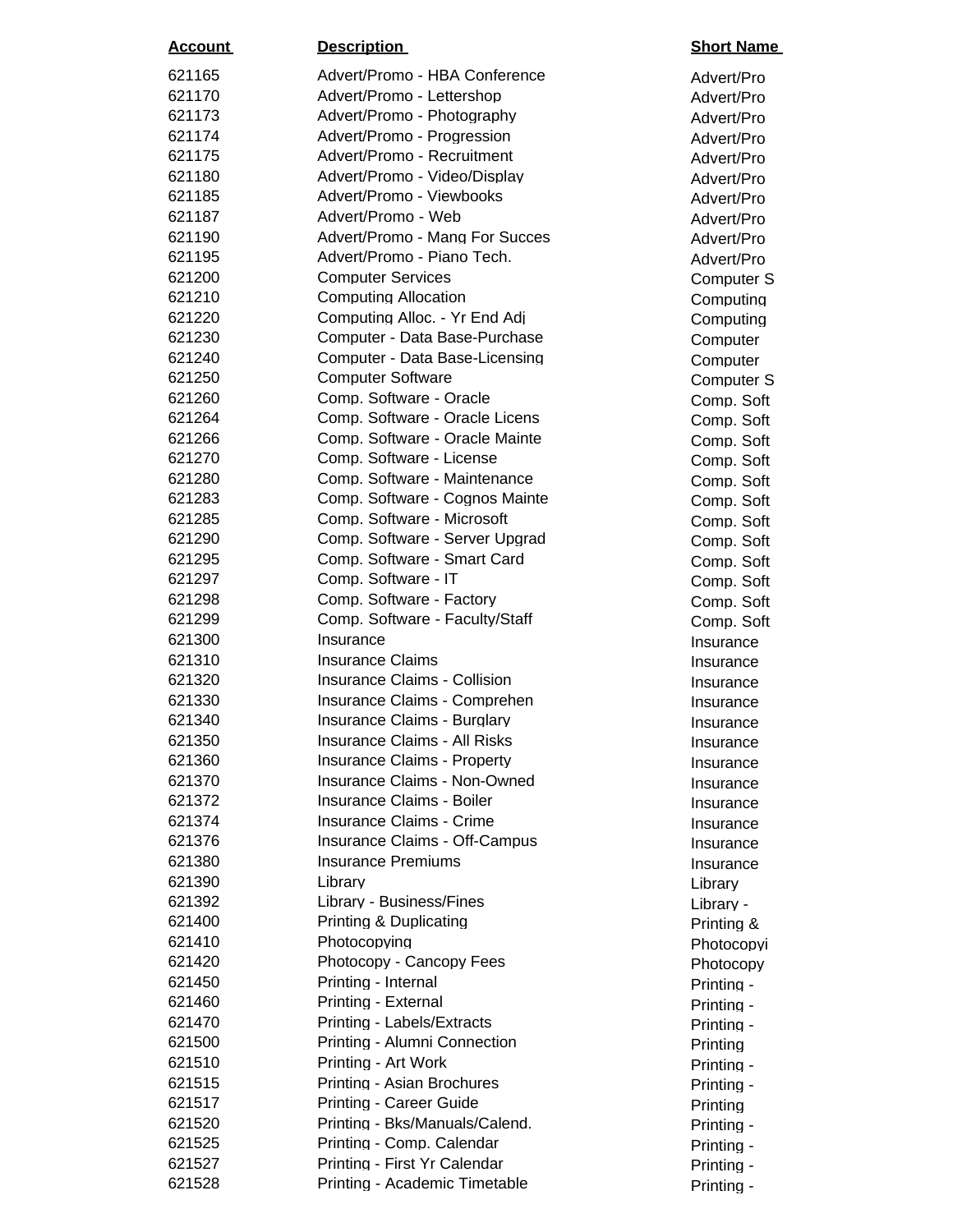| <u>Account</u> | <b>Description</b>                   | <b>Short Name</b> |
|----------------|--------------------------------------|-------------------|
| 621165         | Advert/Promo - HBA Conference        | Advert/Pro        |
| 621170         | Advert/Promo - Lettershop            | Advert/Pro        |
| 621173         | Advert/Promo - Photography           | Advert/Pro        |
| 621174         | Advert/Promo - Progression           | Advert/Pro        |
| 621175         | Advert/Promo - Recruitment           | Advert/Pro        |
| 621180         | Advert/Promo - Video/Display         | Advert/Pro        |
| 621185         | Advert/Promo - Viewbooks             | Advert/Pro        |
| 621187         | Advert/Promo - Web                   | Advert/Pro        |
| 621190         | Advert/Promo - Mang For Succes       | Advert/Pro        |
| 621195         | Advert/Promo - Piano Tech.           | Advert/Pro        |
| 621200         | <b>Computer Services</b>             | Computer S        |
| 621210         | <b>Computing Allocation</b>          | Computing         |
| 621220         | Computing Alloc. - Yr End Adj        | Computing         |
| 621230         | Computer - Data Base-Purchase        | Computer          |
| 621240         | Computer - Data Base-Licensing       | Computer          |
| 621250         | <b>Computer Software</b>             | Computer S        |
| 621260         | Comp. Software - Oracle              | Comp. Soft        |
| 621264         | Comp. Software - Oracle Licens       | Comp. Soft        |
| 621266         | Comp. Software - Oracle Mainte       | Comp. Soft        |
| 621270         | Comp. Software - License             | Comp. Soft        |
| 621280         | Comp. Software - Maintenance         | Comp. Soft        |
| 621283         | Comp. Software - Cognos Mainte       | Comp. Soft        |
| 621285         | Comp. Software - Microsoft           | Comp. Soft        |
| 621290         | Comp. Software - Server Upgrad       | Comp. Soft        |
| 621295         | Comp. Software - Smart Card          | Comp. Soft        |
| 621297         | Comp. Software - IT                  | Comp. Soft        |
| 621298         | Comp. Software - Factory             | Comp. Soft        |
| 621299         | Comp. Software - Faculty/Staff       | Comp. Soft        |
| 621300         | Insurance                            | Insurance         |
| 621310         | Insurance Claims                     | Insurance         |
| 621320         | <b>Insurance Claims - Collision</b>  | Insurance         |
| 621330         | Insurance Claims - Comprehen         | Insurance         |
| 621340         | Insurance Claims - Burglary          | Insurance         |
| 621350         | <b>Insurance Claims - All Risks</b>  | Insurance         |
| 621360         | <b>Insurance Claims - Property</b>   | Insurance         |
| 621370         | <b>Insurance Claims - Non-Owned</b>  | Insurance         |
| 621372         | <b>Insurance Claims - Boiler</b>     | Insurance         |
| 621374         | Insurance Claims - Crime             | Insurance         |
| 621376         | <b>Insurance Claims - Off-Campus</b> | Insurance         |
| 621380         | <b>Insurance Premiums</b>            | Insurance         |
| 621390         | Library                              | Library           |
| 621392         | Library - Business/Fines             | Library -         |
| 621400         | Printing & Duplicating               | Printing &        |
| 621410         | Photocopying                         | Photocopyi        |
| 621420         | Photocopy - Cancopy Fees             | Photocopy         |
| 621450         | Printing - Internal                  | Printing -        |
| 621460         | Printing - External                  | Printing -        |
| 621470         | Printing - Labels/Extracts           | Printing -        |
| 621500         | Printing - Alumni Connection         | Printing          |
| 621510         | Printing - Art Work                  | Printing -        |
| 621515         | Printing - Asian Brochures           | Printing -        |
| 621517         | <b>Printing - Career Guide</b>       | Printing          |
| 621520         | Printing - Bks/Manuals/Calend.       | Printing -        |
| 621525         | Printing - Comp. Calendar            | Printing -        |
| 621527         | Printing - First Yr Calendar         | Printing -        |
| 621528         | Printing - Academic Timetable        | Printing -        |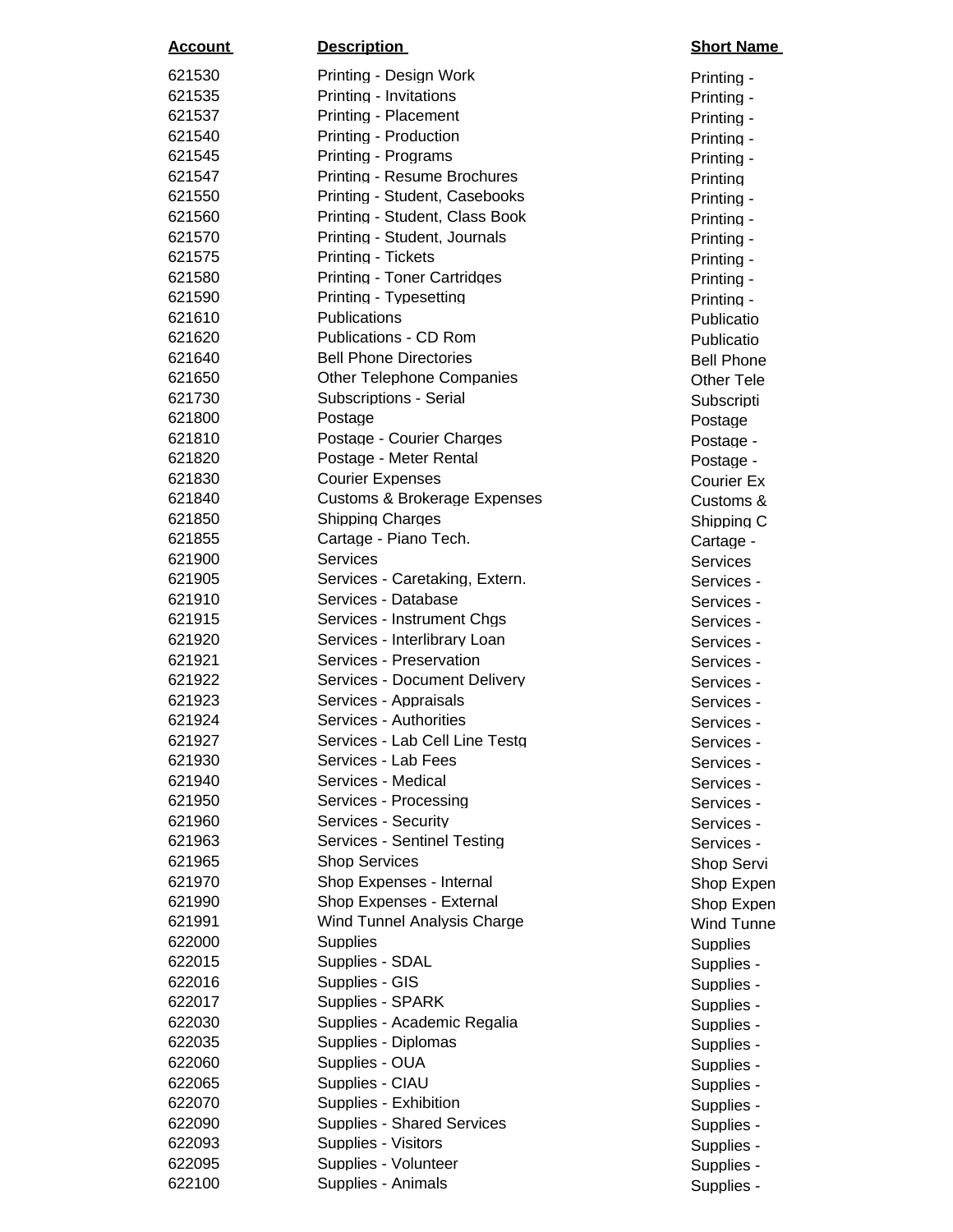| <u>Account</u> | <b>Description</b>                      | <b>Short Name</b> |
|----------------|-----------------------------------------|-------------------|
| 621530         | Printing - Design Work                  | Printing -        |
| 621535         | Printing - Invitations                  | Printing -        |
| 621537         | Printing - Placement                    | Printing -        |
| 621540         | Printing - Production                   | Printing -        |
| 621545         | Printing - Programs                     | Printing -        |
| 621547         | Printing - Resume Brochures             | Printing          |
| 621550         | Printing - Student, Casebooks           | Printing -        |
| 621560         | Printing - Student, Class Book          | Printing -        |
| 621570         | Printing - Student, Journals            | Printing -        |
| 621575         | Printing - Tickets                      | Printing -        |
| 621580         | <b>Printing - Toner Cartridges</b>      | Printing -        |
| 621590         | Printing - Typesetting                  | Printing -        |
| 621610         | Publications                            | Publicatio        |
| 621620         | Publications - CD Rom                   | Publicatio        |
| 621640         | <b>Bell Phone Directories</b>           | <b>Bell Phone</b> |
| 621650         | <b>Other Telephone Companies</b>        | <b>Other Tele</b> |
| 621730         | <b>Subscriptions - Serial</b>           | Subscripti        |
| 621800         | Postage                                 | Postage           |
| 621810         | Postage - Courier Charges               | Postage -         |
| 621820         | Postage - Meter Rental                  | Postage -         |
| 621830         | <b>Courier Expenses</b>                 | <b>Courier Ex</b> |
| 621840         | <b>Customs &amp; Brokerage Expenses</b> | Customs &         |
| 621850         | <b>Shipping Charges</b>                 | Shipping C        |
| 621855         | Cartage - Piano Tech.                   | Cartage -         |
| 621900         | <b>Services</b>                         | <b>Services</b>   |
| 621905         | Services - Caretaking, Extern.          | Services -        |
| 621910         | Services - Database                     | Services -        |
| 621915         | Services - Instrument Chgs              | Services -        |
| 621920         | Services - Interlibrary Loan            | Services -        |
| 621921         | Services - Preservation                 | Services -        |
| 621922         | Services - Document Delivery            | Services -        |
| 621923         | Services - Appraisals                   | Services -        |
| 621924         | Services - Authorities                  | Services -        |
| 621927         | Services - Lab Cell Line Testg          | Services -        |
| 621930         | Services - Lab Fees                     | Services -        |
| 621940         | Services - Medical                      | Services -        |
| 621950         | Services - Processing                   | Services -        |
| 621960         | Services - Security                     | Services -        |
| 621963         | Services - Sentinel Testing             | Services -        |
| 621965         | <b>Shop Services</b>                    | Shop Servi        |
| 621970         | Shop Expenses - Internal                | Shop Expen        |
| 621990         | Shop Expenses - External                | Shop Expen        |
| 621991         | Wind Tunnel Analysis Charge             | <b>Wind Tunne</b> |
| 622000         | Supplies                                | <b>Supplies</b>   |
| 622015         | Supplies - SDAL                         | Supplies -        |
| 622016         | Supplies - GIS                          | Supplies -        |
| 622017         | Supplies - SPARK                        | Supplies -        |
| 622030         | Supplies - Academic Regalia             | Supplies -        |
| 622035         | Supplies - Diplomas                     | Supplies -        |
| 622060         | Supplies - OUA                          | Supplies -        |
| 622065         | Supplies - CIAU                         | Supplies -        |
| 622070         | Supplies - Exhibition                   | Supplies -        |
| 622090         | <b>Supplies - Shared Services</b>       | Supplies -        |
| 622093         | Supplies - Visitors                     | Supplies -        |
| 622095         | Supplies - Volunteer                    | Supplies -        |
| 622100         | Supplies - Animals                      | Supplies -        |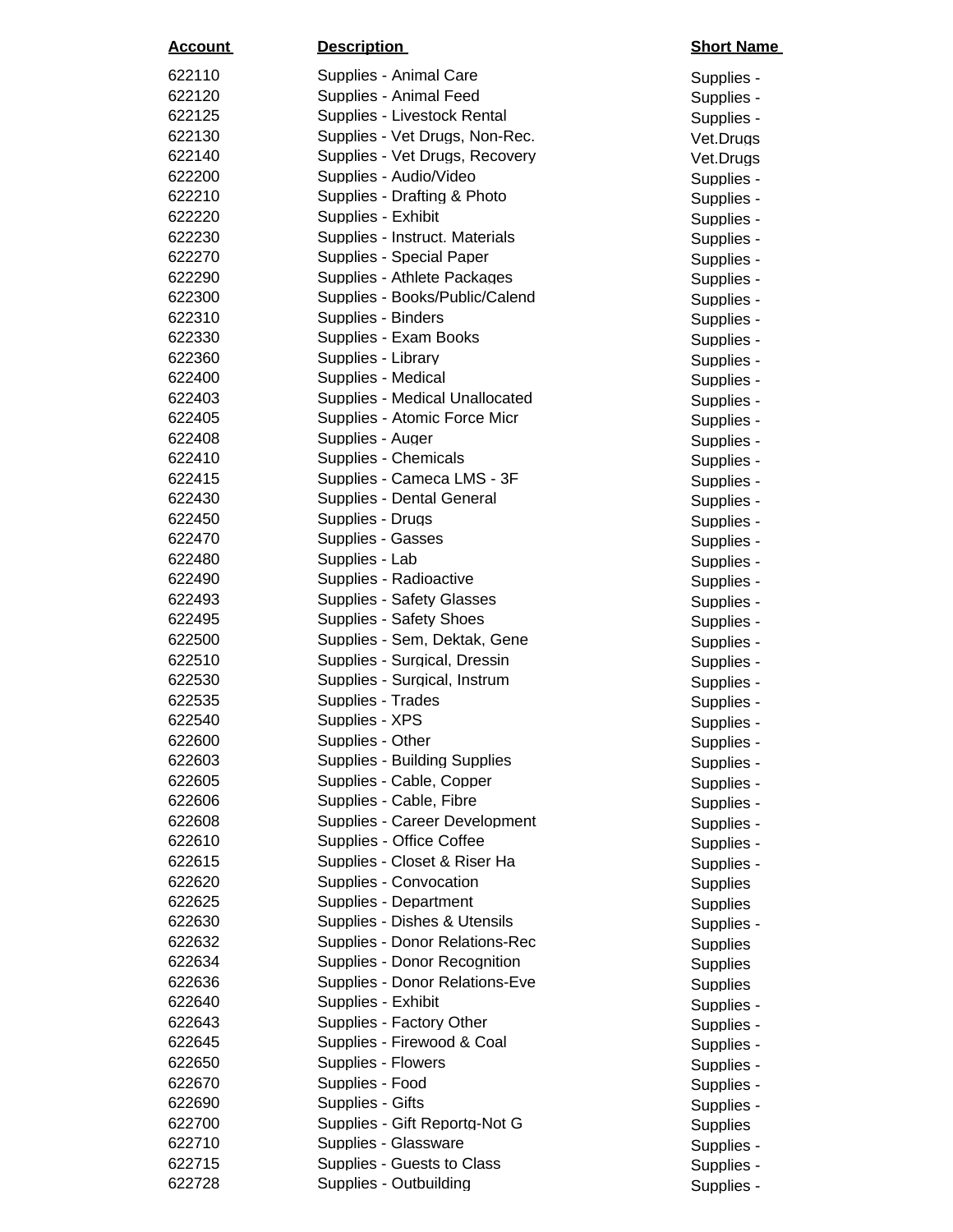| <u>Account</u> | <b>Description</b>                  | <b>Short Name</b> |
|----------------|-------------------------------------|-------------------|
| 622110         | Supplies - Animal Care              | Supplies -        |
| 622120         | Supplies - Animal Feed              | Supplies -        |
| 622125         | Supplies - Livestock Rental         | Supplies -        |
| 622130         | Supplies - Vet Drugs, Non-Rec.      | Vet.Drugs         |
| 622140         | Supplies - Vet Drugs, Recovery      | Vet.Drugs         |
| 622200         | Supplies - Audio/Video              | Supplies -        |
| 622210         | Supplies - Drafting & Photo         | Supplies -        |
| 622220         | Supplies - Exhibit                  | Supplies -        |
| 622230         | Supplies - Instruct. Materials      | Supplies -        |
| 622270         | Supplies - Special Paper            | Supplies -        |
| 622290         | Supplies - Athlete Packages         | Supplies -        |
| 622300         | Supplies - Books/Public/Calend      | Supplies -        |
| 622310         | Supplies - Binders                  | Supplies -        |
| 622330         | Supplies - Exam Books               | Supplies -        |
| 622360         | Supplies - Library                  | Supplies -        |
| 622400         | Supplies - Medical                  | Supplies -        |
| 622403         | Supplies - Medical Unallocated      | Supplies -        |
| 622405         | Supplies - Atomic Force Micr        | Supplies -        |
| 622408         | Supplies - Auger                    | Supplies -        |
| 622410         | Supplies - Chemicals                | Supplies -        |
| 622415         | Supplies - Cameca LMS - 3F          | Supplies -        |
| 622430         | Supplies - Dental General           | Supplies -        |
| 622450         | Supplies - Drugs                    | Supplies -        |
| 622470         | Supplies - Gasses                   | Supplies -        |
| 622480         | Supplies - Lab                      | Supplies -        |
| 622490         | Supplies - Radioactive              | Supplies -        |
| 622493         | <b>Supplies - Safety Glasses</b>    | Supplies -        |
| 622495         | Supplies - Safety Shoes             | Supplies -        |
| 622500         | Supplies - Sem, Dektak, Gene        | Supplies -        |
| 622510         | Supplies - Surgical, Dressin        | Supplies -        |
| 622530         | Supplies - Surgical, Instrum        | Supplies -        |
| 622535         | Supplies - Trades                   | Supplies -        |
| 622540         | Supplies - XPS                      | Supplies -        |
| 622600         | Supplies - Other                    | Supplies -        |
| 622603         | <b>Supplies - Building Supplies</b> | Supplies -        |
| 622605         | Supplies - Cable, Copper            | Supplies -        |
| 622606         | Supplies - Cable, Fibre             | Supplies -        |
| 622608         | Supplies - Career Development       | Supplies -        |
| 622610         | Supplies - Office Coffee            | Supplies -        |
| 622615         | Supplies - Closet & Riser Ha        | Supplies -        |
| 622620         | Supplies - Convocation              | <b>Supplies</b>   |
| 622625         | Supplies - Department               | <b>Supplies</b>   |
| 622630         | Supplies - Dishes & Utensils        | Supplies -        |
| 622632         | Supplies - Donor Relations-Rec      | <b>Supplies</b>   |
| 622634         | Supplies - Donor Recognition        | <b>Supplies</b>   |
| 622636         | Supplies - Donor Relations-Eve      | <b>Supplies</b>   |
| 622640         | Supplies - Exhibit                  | Supplies -        |
| 622643         | Supplies - Factory Other            | Supplies -        |
| 622645         | Supplies - Firewood & Coal          | Supplies -        |
| 622650         | Supplies - Flowers                  | Supplies -        |
| 622670         | Supplies - Food                     | Supplies -        |
| 622690         | Supplies - Gifts                    | Supplies -        |
| 622700         | Supplies - Gift Reportg-Not G       | <b>Supplies</b>   |
| 622710         | Supplies - Glassware                | Supplies -        |
| 622715         | Supplies - Guests to Class          | Supplies -        |
| 622728         | Supplies - Outbuilding              | Supplies -        |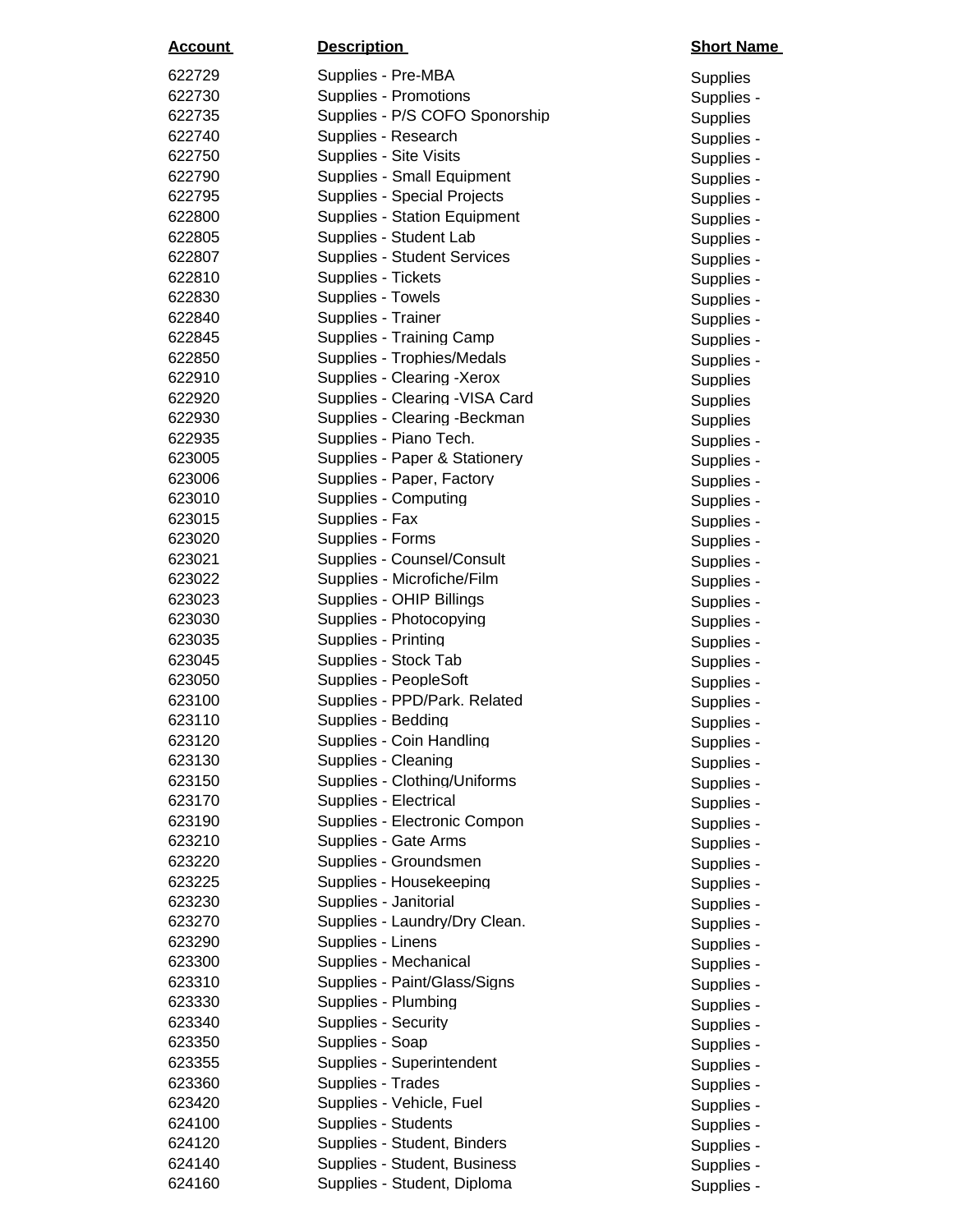| <u>Account</u>   | <b>Description</b>                              | <b>Short Name</b>        |
|------------------|-------------------------------------------------|--------------------------|
| 622729           | Supplies - Pre-MBA                              | <b>Supplies</b>          |
| 622730           | Supplies - Promotions                           | Supplies -               |
| 622735           | Supplies - P/S COFO Sponorship                  | <b>Supplies</b>          |
| 622740           | Supplies - Research                             | Supplies -               |
| 622750           | Supplies - Site Visits                          | Supplies -               |
| 622790           | Supplies - Small Equipment                      | Supplies -               |
| 622795           | Supplies - Special Projects                     | Supplies -               |
| 622800           | <b>Supplies - Station Equipment</b>             | Supplies -               |
| 622805           | Supplies - Student Lab                          | Supplies -               |
| 622807           | <b>Supplies - Student Services</b>              | Supplies -               |
| 622810           | Supplies - Tickets                              | Supplies -               |
| 622830           | Supplies - Towels                               | Supplies -               |
| 622840           | Supplies - Trainer                              | Supplies -               |
| 622845           | Supplies - Training Camp                        | Supplies -               |
| 622850           | Supplies - Trophies/Medals                      | Supplies -               |
| 622910           | Supplies - Clearing -Xerox                      | <b>Supplies</b>          |
| 622920           | Supplies - Clearing - VISA Card                 | <b>Supplies</b>          |
| 622930           | Supplies - Clearing - Beckman                   | <b>Supplies</b>          |
| 622935           | Supplies - Piano Tech.                          | Supplies -               |
| 623005           | Supplies - Paper & Stationery                   | Supplies -               |
| 623006           | Supplies - Paper, Factory                       | Supplies -               |
| 623010           | Supplies - Computing                            | Supplies -               |
| 623015           | Supplies - Fax                                  | Supplies -               |
| 623020           | Supplies - Forms                                | Supplies -               |
| 623021           | Supplies - Counsel/Consult                      | Supplies -               |
| 623022           | Supplies - Microfiche/Film                      | Supplies -               |
| 623023           | Supplies - OHIP Billings                        | Supplies -               |
| 623030           | Supplies - Photocopying                         | Supplies -               |
| 623035           | Supplies - Printing                             | Supplies -               |
| 623045           | Supplies - Stock Tab                            | Supplies -               |
| 623050           | Supplies - PeopleSoft                           | Supplies -               |
| 623100           | Supplies - PPD/Park. Related                    | Supplies -               |
| 623110           | Supplies - Bedding                              | Supplies -               |
| 623120<br>623130 | Supplies - Coin Handling<br>Supplies - Cleaning | Supplies -               |
|                  | Supplies - Clothing/Uniforms                    | Supplies -               |
| 623150<br>623170 | Supplies - Electrical                           | Supplies -               |
| 623190           | Supplies - Electronic Compon                    | Supplies -               |
| 623210           | Supplies - Gate Arms                            | Supplies -               |
| 623220           | Supplies - Groundsmen                           | Supplies -               |
| 623225           | Supplies - Housekeeping                         | Supplies -               |
| 623230           | Supplies - Janitorial                           | Supplies -<br>Supplies - |
| 623270           | Supplies - Laundry/Dry Clean.                   | Supplies -               |
| 623290           | Supplies - Linens                               | Supplies -               |
| 623300           | Supplies - Mechanical                           | Supplies -               |
| 623310           | Supplies - Paint/Glass/Signs                    | Supplies -               |
| 623330           | Supplies - Plumbing                             | Supplies -               |
| 623340           | Supplies - Security                             | Supplies -               |
| 623350           | Supplies - Soap                                 | Supplies -               |
| 623355           | Supplies - Superintendent                       | Supplies -               |
| 623360           | Supplies - Trades                               | Supplies -               |
| 623420           | Supplies - Vehicle, Fuel                        | Supplies -               |
| 624100           | Supplies - Students                             | Supplies -               |
| 624120           | Supplies - Student, Binders                     | Supplies -               |
| 624140           | Supplies - Student, Business                    | Supplies -               |
| 624160           | Supplies - Student, Diploma                     | Supplies -               |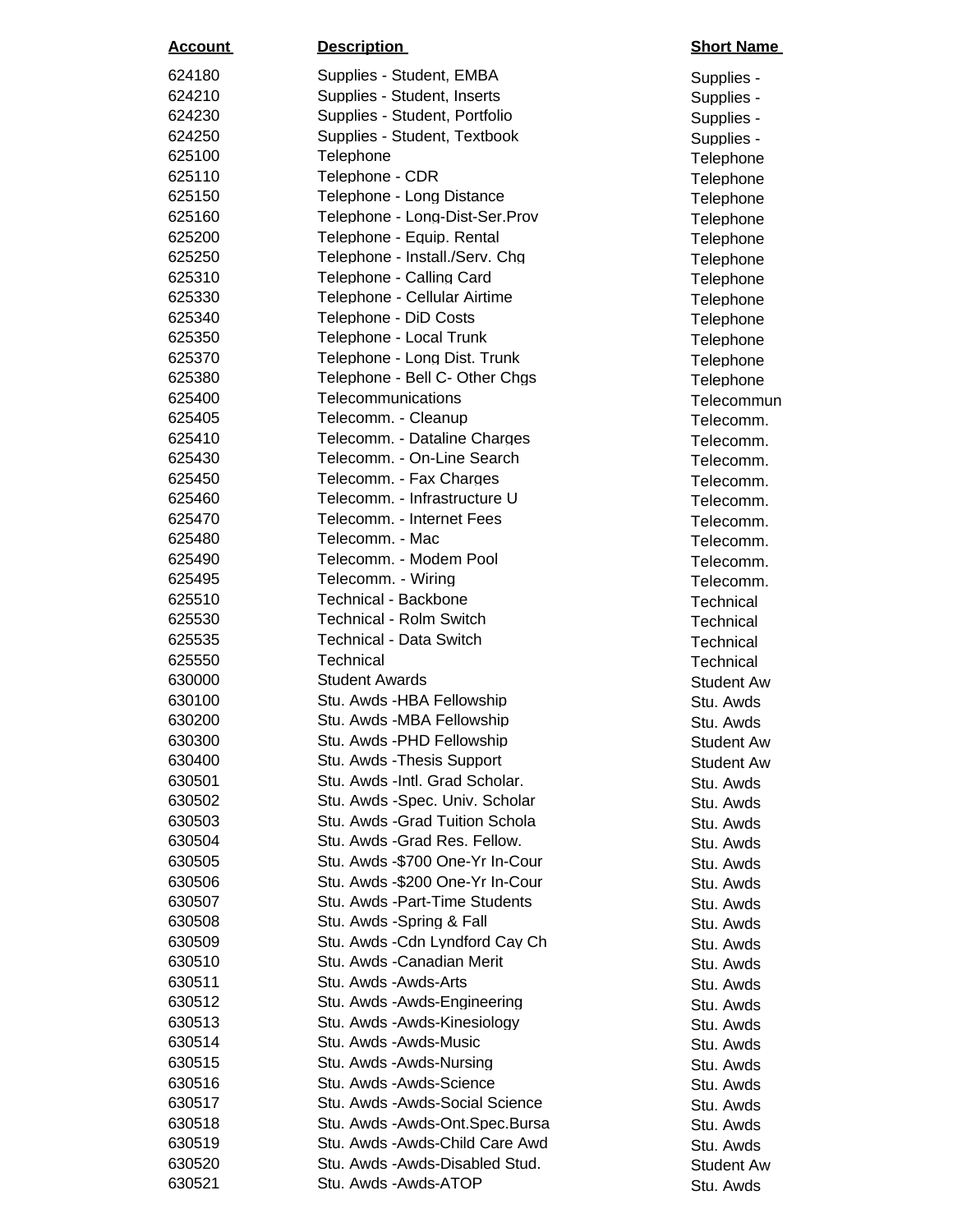| <u>Account</u>   | <b>Description</b>                                               | <b>Short Nar</b>      |
|------------------|------------------------------------------------------------------|-----------------------|
| 624180           | Supplies - Student, EMBA                                         | Supplies -            |
| 624210           | Supplies - Student, Inserts                                      | Supplies -            |
| 624230           | Supplies - Student, Portfolio                                    | Supplies -            |
| 624250           | Supplies - Student, Textbook                                     | Supplies -            |
| 625100           | Telephone                                                        | Telephone             |
| 625110           | Telephone - CDR                                                  | Telephone             |
| 625150           | Telephone - Long Distance                                        | Telephone             |
| 625160           | Telephone - Long-Dist-Ser.Prov                                   | Telephone             |
| 625200           | Telephone - Equip. Rental                                        | Telephone             |
| 625250           | Telephone - Install./Serv. Chg                                   | Telephone             |
| 625310           | Telephone - Calling Card                                         | Telephone             |
| 625330           | Telephone - Cellular Airtime                                     | Telephone             |
| 625340           | Telephone - DiD Costs                                            | Telephone             |
| 625350           | Telephone - Local Trunk                                          | Telephone             |
| 625370           | Telephone - Long Dist. Trunk                                     | Telephone             |
| 625380           | Telephone - Bell C- Other Chgs                                   | Telephone             |
| 625400           | Telecommunications                                               | Telecomm              |
| 625405           | Telecomm. - Cleanup                                              | Telecomm              |
| 625410           | Telecomm. - Dataline Charges                                     | Telecomm              |
| 625430           | Telecomm. - On-Line Search                                       | Telecomm              |
| 625450           | Telecomm. - Fax Charges                                          | Telecomm              |
| 625460           | Telecomm. - Infrastructure U                                     | Telecomm              |
| 625470           | Telecomm. - Internet Fees                                        | Telecomm              |
| 625480           | Telecomm. - Mac                                                  | Telecomm              |
| 625490           | Telecomm. - Modem Pool                                           | Telecomm              |
| 625495           | Telecomm. - Wiring                                               | Telecomm              |
| 625510           | <b>Technical - Backbone</b>                                      | Technical             |
| 625530           | <b>Technical - Rolm Switch</b>                                   | Technical             |
| 625535           | <b>Technical - Data Switch</b>                                   | Technical             |
| 625550           | Technical                                                        | Technical             |
| 630000           | <b>Student Awards</b>                                            | Student A             |
| 630100           | Stu. Awds -HBA Fellowship                                        | Stu. Awds             |
| 630200           | Stu. Awds -MBA Fellowship                                        | Stu. Awds             |
| 630300           | Stu. Awds - PHD Fellowship                                       | Student A             |
| 630400           | Stu. Awds - Thesis Support                                       | Student A             |
| 630501           | Stu. Awds - Intl. Grad Scholar.                                  | Stu. Awds             |
| 630502           | Stu. Awds -Spec. Univ. Scholar                                   | Stu. Awds             |
| 630503           | Stu. Awds - Grad Tuition Schola<br>Stu. Awds - Grad Res. Fellow. | Stu. Awds             |
| 630504           | Stu. Awds -\$700 One-Yr In-Cour                                  | Stu. Awds             |
| 630505           | Stu. Awds -\$200 One-Yr In-Cour                                  | Stu. Awds             |
| 630506<br>630507 | Stu. Awds - Part-Time Students                                   | Stu. Awds             |
| 630508           | Stu. Awds -Spring & Fall                                         | Stu. Awds             |
| 630509           | Stu. Awds - Cdn Lyndford Cay Ch                                  | Stu. Awds             |
| 630510           | Stu. Awds -Canadian Merit                                        | Stu. Awds             |
| 630511           | Stu. Awds - Awds-Arts                                            | Stu. Awds             |
| 630512           | Stu. Awds - Awds-Engineering                                     | Stu. Awds             |
| 630513           | Stu. Awds - Awds-Kinesiology                                     | Stu. Awds             |
| 630514           | Stu. Awds - Awds-Music                                           | Stu. Awds             |
| 630515           | Stu. Awds - Awds-Nursing                                         | Stu. Awds             |
| 630516           | Stu. Awds - Awds-Science                                         | Stu. Awds             |
| 630517           | Stu. Awds - Awds-Social Science                                  | Stu. Awds             |
| 630518           | Stu. Awds - Awds-Ont. Spec. Bursa                                | Stu. Awds             |
| 630519           | Stu. Awds - Awds-Child Care Awd                                  | Stu. Awds             |
| 630520           | Stu. Awds - Awds-Disabled Stud.                                  | Stu. Awds             |
| 630521           | Stu. Awds - Awds-ATOP                                            | Student A<br>Stu Awds |
|                  |                                                                  |                       |

Supplies -Supplies -Supplies -Supplies -**Telephone** Telephone Telephone Telephone Telephone Telephone Telephone Telephone Telephone Telephone Telephone Telephone Telecommun Telecomm. Telecomm. Telecomm. Telecomm. Telecomm. Telecomm. Telecomm. Telecomm. Telecomm. Technical Technical Technical Student Aw Stu. Awds Student Aw Student Aw Stu. Awds Stu. Awds Stu. Awds Stu. Awds Stu. Awds Stu. Awds Stu. Awds Stu. Awds Stu. Awds Stu. Awds Stu. Awds Stu. Awds Stu. Awds Stu. Awds Stu. Awds Stu. Awds Stu. Awds Student Aw

Stu. Awds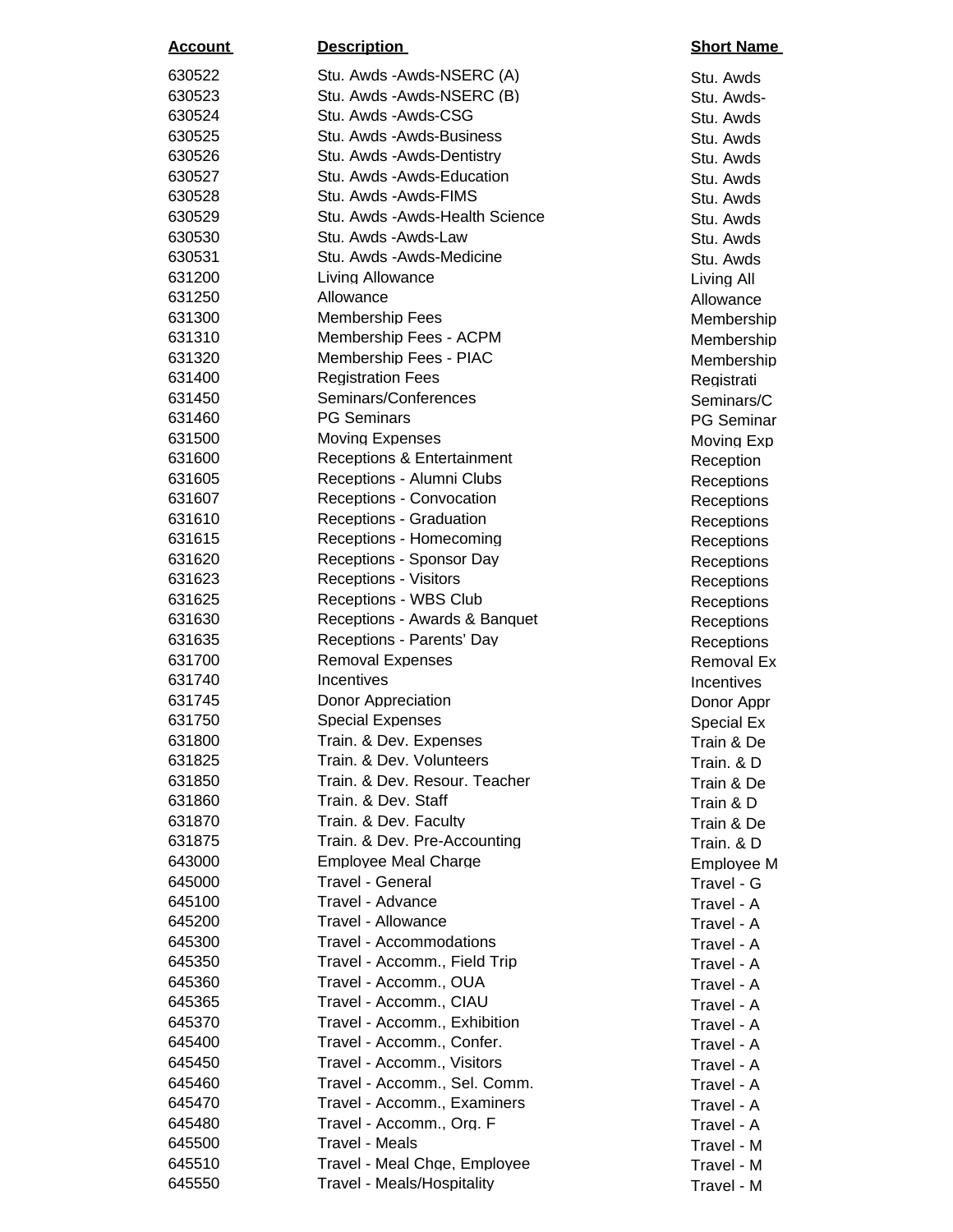| <b>Account</b>   | <b>Description</b>                                | <b>Short Nar</b>         |
|------------------|---------------------------------------------------|--------------------------|
| 630522           | Stu. Awds - Awds-NSERC (A)                        | Stu. Awds                |
| 630523           | Stu. Awds - Awds-NSERC (B)                        | Stu. Awds                |
| 630524           | Stu. Awds - Awds-CSG                              | Stu. Awds                |
| 630525           | Stu. Awds - Awds-Business                         | Stu. Awds                |
| 630526           | Stu. Awds - Awds-Dentistry                        | Stu. Awds                |
| 630527           | Stu. Awds - Awds-Education                        | Stu. Awds                |
| 630528           | Stu. Awds - Awds-FIMS                             | Stu. Awds                |
| 630529           | Stu. Awds - Awds-Health Science                   | Stu. Awds                |
| 630530           | Stu. Awds - Awds-Law                              | Stu. Awds                |
| 630531           | Stu. Awds - Awds-Medicine                         | Stu. Awds                |
| 631200           | Living Allowance                                  | Living All               |
| 631250           | Allowance                                         | Allowance                |
| 631300           | <b>Membership Fees</b>                            | Membersh                 |
| 631310           | Membership Fees - ACPM                            | Membersh                 |
| 631320           | Membership Fees - PIAC                            | Membersh                 |
| 631400           | <b>Registration Fees</b>                          | Registrati               |
| 631450           | Seminars/Conferences                              | Seminars/                |
| 631460           | <b>PG Seminars</b>                                | <b>PG Semin</b>          |
| 631500           | <b>Moving Expenses</b>                            | Moving Ex                |
| 631600           | <b>Receptions &amp; Entertainment</b>             | Reception                |
| 631605           | Receptions - Alumni Clubs                         | Reception                |
| 631607           | <b>Receptions - Convocation</b>                   | Reception                |
| 631610           | <b>Receptions - Graduation</b>                    | Reception                |
| 631615           | Receptions - Homecoming                           | Reception                |
| 631620           | Receptions - Sponsor Day                          | Reception                |
| 631623           | <b>Receptions - Visitors</b>                      | Reception                |
| 631625           | Receptions - WBS Club                             | Reception                |
| 631630           | Receptions - Awards & Banquet                     | Reception                |
| 631635           | Receptions - Parents' Day                         | Reception                |
| 631700           | <b>Removal Expenses</b>                           | Removal I                |
| 631740           | Incentives                                        | Incentives               |
| 631745<br>631750 | Donor Appreciation                                | Donor App                |
| 631800           | <b>Special Expenses</b><br>Train. & Dev. Expenses | Special Ex               |
| 631825           | Train. & Dev. Volunteers                          | Train & De               |
| 631850           | Train. & Dev. Resour. Teacher                     | Train. & D<br>Train & De |
| 631860           | Train. & Dev. Staff                               |                          |
| 631870           | Train. & Dev. Faculty                             | Train & D<br>Train & De  |
| 631875           | Train, & Dev. Pre-Accounting                      | Train. & D               |
| 643000           | <b>Employee Meal Charge</b>                       | Employee                 |
| 645000           | Travel - General                                  | Travel - G               |
| 645100           | Travel - Advance                                  | Travel - A               |
| 645200           | Travel - Allowance                                | Travel - A               |
| 645300           | <b>Travel - Accommodations</b>                    | Travel - A               |
| 645350           | Travel - Accomm., Field Trip                      | Travel - A               |
| 645360           | Travel - Accomm., OUA                             | Travel - A               |
| 645365           | Travel - Accomm., CIAU                            | Travel - A               |
| 645370           | Travel - Accomm., Exhibition                      | Travel - A               |
| 645400           | Travel - Accomm., Confer.                         | Travel - A               |
| 645450           | Travel - Accomm., Visitors                        | Travel - A               |
| 645460           | Travel - Accomm., Sel. Comm.                      | Travel - A               |
| 645470           | Travel - Accomm., Examiners                       | Travel - A               |
| 645480           | Travel - Accomm., Org. F                          | Travel - A               |
| 645500           | Travel - Meals                                    | Travel - M               |
| 645510           | Travel - Meal Chge, Employee                      | Travel - M               |
| 645550           | Travel - Meals/Hospitality                        | Travel - M               |

Stu. Awds Stu. Awds-Stu. Awds Stu. Awds Stu. Awds Stu. Awds Stu. Awds Stu. Awds Stu. Awds **Allowance Membership Membership** Membership Registrati Seminars/C PG Seminar Moving Exp **Reception** Receptions **Receptions** Receptions **Receptions** Receptions **Receptions** Receptions Receptions Receptions Removal Ex **Incentives** Donor Appr Special Ex Train & De Train. & D Train & De Train & D Train & De Train. & D Employee M Travel - G Travel - A Travel - A Travel - A Travel - A Travel - A Travel - A Travel - A Travel - A Travel - A Travel - A Travel - M Travel - M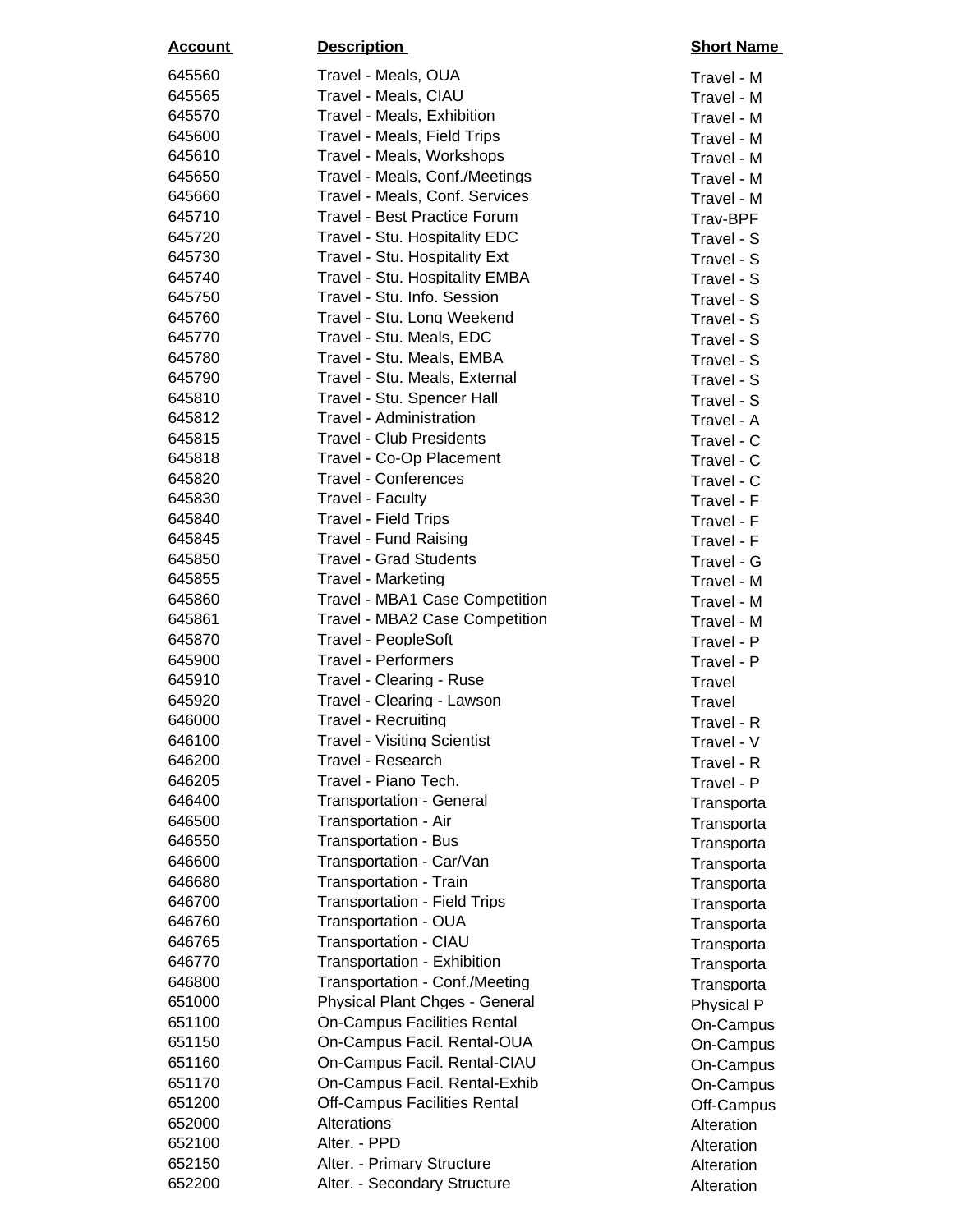| Travel - Meals, OUA<br>645560<br>Travel - M<br>645565<br>Travel - Meals, CIAU<br>Travel - M<br>645570<br>Travel - Meals, Exhibition<br>Travel - M<br>645600<br>Travel - Meals, Field Trips<br>Travel - M<br>645610<br>Travel - Meals, Workshops<br>Travel - M<br>645650<br>Travel - Meals, Conf./Meetings<br>Travel - M<br>645660<br>Travel - Meals, Conf. Services<br>Travel - M<br><b>Travel - Best Practice Forum</b><br>645710<br>Trav-BPF<br>645720<br>Travel - Stu. Hospitality EDC<br>Travel - S<br>645730<br>Travel - Stu. Hospitality Ext<br>Travel - S<br>645740<br>Travel - Stu. Hospitality EMBA<br>Travel - S<br>645750<br>Travel - Stu. Info. Session<br>Travel - S<br>Travel - Stu. Long Weekend<br>645760<br>Travel - S<br>645770<br>Travel - Stu. Meals, EDC<br>Travel - S<br>Travel - Stu. Meals, EMBA<br>645780<br>Travel - S<br>645790<br>Travel - Stu. Meals, External<br>Travel - S<br>645810<br>Travel - Stu. Spencer Hall<br>Travel - S<br>645812<br>Travel - Administration<br>Travel - A<br>645815<br><b>Travel - Club Presidents</b><br>Travel - C<br>Travel - Co-Op Placement<br>645818<br>Travel - C<br>645820<br><b>Travel - Conferences</b><br>Travel - C<br>645830<br>Travel - Faculty<br>Travel - F<br>645840<br><b>Travel - Field Trips</b><br>Travel - F<br>645845<br><b>Travel - Fund Raising</b><br>Travel - F<br><b>Travel - Grad Students</b><br>645850<br>Travel - G<br>645855<br><b>Travel - Marketing</b><br>Travel - M<br>645860<br>Travel - MBA1 Case Competition<br>Travel - M<br>645861<br>Travel - MBA2 Case Competition<br>Travel - M<br>645870<br><b>Travel - PeopleSoft</b><br>Travel - P<br>645900<br><b>Travel - Performers</b><br>Travel - P<br>645910<br>Travel - Clearing - Ruse<br>Travel<br>645920<br>Travel - Clearing - Lawson<br>Travel<br>646000<br><b>Travel - Recruiting</b><br>Travel - R<br>646100<br><b>Travel - Visiting Scientist</b><br>Travel - V<br>646200<br>Travel - Research<br>Travel - R<br>Travel - Piano Tech.<br>646205<br>Travel - P<br><b>Transportation - General</b><br>646400<br>Transporta<br>Transportation - Air<br>646500<br>Transporta<br>646550<br><b>Transportation - Bus</b><br>Transporta<br>Transportation - Car/Van<br>646600<br>Transporta<br>646680<br><b>Transportation - Train</b><br>Transporta<br><b>Transportation - Field Trips</b><br>646700<br>Transporta<br>646760<br>Transportation - OUA<br>Transporta<br>Transportation - CIAU<br>646765<br>Transporta<br><b>Transportation - Exhibition</b><br>646770<br>Transporta<br>Transportation - Conf./Meeting<br>646800<br>Transporta<br>651000<br>Physical Plant Chges - General<br>Physical P<br>651100<br><b>On-Campus Facilities Rental</b><br>On-Campus<br>651150<br>On-Campus Facil. Rental-OUA<br>On-Campus<br>On-Campus Facil. Rental-CIAU<br>651160<br>On-Campus<br>651170<br>On-Campus Facil. Rental-Exhib<br>On-Campus<br>651200<br><b>Off-Campus Facilities Rental</b><br>Off-Campus<br>Alterations<br>652000<br>Alteration<br>Alter. - PPD<br>652100<br>Alteration<br>652150<br>Alter. - Primary Structure<br>Alteration<br>652200<br>Alter. - Secondary Structure<br>Alteration | <u>Account</u> | <b>Description</b> | <b>Short Name</b> |
|-----------------------------------------------------------------------------------------------------------------------------------------------------------------------------------------------------------------------------------------------------------------------------------------------------------------------------------------------------------------------------------------------------------------------------------------------------------------------------------------------------------------------------------------------------------------------------------------------------------------------------------------------------------------------------------------------------------------------------------------------------------------------------------------------------------------------------------------------------------------------------------------------------------------------------------------------------------------------------------------------------------------------------------------------------------------------------------------------------------------------------------------------------------------------------------------------------------------------------------------------------------------------------------------------------------------------------------------------------------------------------------------------------------------------------------------------------------------------------------------------------------------------------------------------------------------------------------------------------------------------------------------------------------------------------------------------------------------------------------------------------------------------------------------------------------------------------------------------------------------------------------------------------------------------------------------------------------------------------------------------------------------------------------------------------------------------------------------------------------------------------------------------------------------------------------------------------------------------------------------------------------------------------------------------------------------------------------------------------------------------------------------------------------------------------------------------------------------------------------------------------------------------------------------------------------------------------------------------------------------------------------------------------------------------------------------------------------------------------------------------------------------------------------------------------------------------------------------------------------------------------------------------------------------------------------------------------------------------------------------------------------------------------------------------------------------------------------------------------------------------------------------------------|----------------|--------------------|-------------------|
|                                                                                                                                                                                                                                                                                                                                                                                                                                                                                                                                                                                                                                                                                                                                                                                                                                                                                                                                                                                                                                                                                                                                                                                                                                                                                                                                                                                                                                                                                                                                                                                                                                                                                                                                                                                                                                                                                                                                                                                                                                                                                                                                                                                                                                                                                                                                                                                                                                                                                                                                                                                                                                                                                                                                                                                                                                                                                                                                                                                                                                                                                                                                                     |                |                    |                   |
|                                                                                                                                                                                                                                                                                                                                                                                                                                                                                                                                                                                                                                                                                                                                                                                                                                                                                                                                                                                                                                                                                                                                                                                                                                                                                                                                                                                                                                                                                                                                                                                                                                                                                                                                                                                                                                                                                                                                                                                                                                                                                                                                                                                                                                                                                                                                                                                                                                                                                                                                                                                                                                                                                                                                                                                                                                                                                                                                                                                                                                                                                                                                                     |                |                    |                   |
|                                                                                                                                                                                                                                                                                                                                                                                                                                                                                                                                                                                                                                                                                                                                                                                                                                                                                                                                                                                                                                                                                                                                                                                                                                                                                                                                                                                                                                                                                                                                                                                                                                                                                                                                                                                                                                                                                                                                                                                                                                                                                                                                                                                                                                                                                                                                                                                                                                                                                                                                                                                                                                                                                                                                                                                                                                                                                                                                                                                                                                                                                                                                                     |                |                    |                   |
|                                                                                                                                                                                                                                                                                                                                                                                                                                                                                                                                                                                                                                                                                                                                                                                                                                                                                                                                                                                                                                                                                                                                                                                                                                                                                                                                                                                                                                                                                                                                                                                                                                                                                                                                                                                                                                                                                                                                                                                                                                                                                                                                                                                                                                                                                                                                                                                                                                                                                                                                                                                                                                                                                                                                                                                                                                                                                                                                                                                                                                                                                                                                                     |                |                    |                   |
|                                                                                                                                                                                                                                                                                                                                                                                                                                                                                                                                                                                                                                                                                                                                                                                                                                                                                                                                                                                                                                                                                                                                                                                                                                                                                                                                                                                                                                                                                                                                                                                                                                                                                                                                                                                                                                                                                                                                                                                                                                                                                                                                                                                                                                                                                                                                                                                                                                                                                                                                                                                                                                                                                                                                                                                                                                                                                                                                                                                                                                                                                                                                                     |                |                    |                   |
|                                                                                                                                                                                                                                                                                                                                                                                                                                                                                                                                                                                                                                                                                                                                                                                                                                                                                                                                                                                                                                                                                                                                                                                                                                                                                                                                                                                                                                                                                                                                                                                                                                                                                                                                                                                                                                                                                                                                                                                                                                                                                                                                                                                                                                                                                                                                                                                                                                                                                                                                                                                                                                                                                                                                                                                                                                                                                                                                                                                                                                                                                                                                                     |                |                    |                   |
|                                                                                                                                                                                                                                                                                                                                                                                                                                                                                                                                                                                                                                                                                                                                                                                                                                                                                                                                                                                                                                                                                                                                                                                                                                                                                                                                                                                                                                                                                                                                                                                                                                                                                                                                                                                                                                                                                                                                                                                                                                                                                                                                                                                                                                                                                                                                                                                                                                                                                                                                                                                                                                                                                                                                                                                                                                                                                                                                                                                                                                                                                                                                                     |                |                    |                   |
|                                                                                                                                                                                                                                                                                                                                                                                                                                                                                                                                                                                                                                                                                                                                                                                                                                                                                                                                                                                                                                                                                                                                                                                                                                                                                                                                                                                                                                                                                                                                                                                                                                                                                                                                                                                                                                                                                                                                                                                                                                                                                                                                                                                                                                                                                                                                                                                                                                                                                                                                                                                                                                                                                                                                                                                                                                                                                                                                                                                                                                                                                                                                                     |                |                    |                   |
|                                                                                                                                                                                                                                                                                                                                                                                                                                                                                                                                                                                                                                                                                                                                                                                                                                                                                                                                                                                                                                                                                                                                                                                                                                                                                                                                                                                                                                                                                                                                                                                                                                                                                                                                                                                                                                                                                                                                                                                                                                                                                                                                                                                                                                                                                                                                                                                                                                                                                                                                                                                                                                                                                                                                                                                                                                                                                                                                                                                                                                                                                                                                                     |                |                    |                   |
|                                                                                                                                                                                                                                                                                                                                                                                                                                                                                                                                                                                                                                                                                                                                                                                                                                                                                                                                                                                                                                                                                                                                                                                                                                                                                                                                                                                                                                                                                                                                                                                                                                                                                                                                                                                                                                                                                                                                                                                                                                                                                                                                                                                                                                                                                                                                                                                                                                                                                                                                                                                                                                                                                                                                                                                                                                                                                                                                                                                                                                                                                                                                                     |                |                    |                   |
|                                                                                                                                                                                                                                                                                                                                                                                                                                                                                                                                                                                                                                                                                                                                                                                                                                                                                                                                                                                                                                                                                                                                                                                                                                                                                                                                                                                                                                                                                                                                                                                                                                                                                                                                                                                                                                                                                                                                                                                                                                                                                                                                                                                                                                                                                                                                                                                                                                                                                                                                                                                                                                                                                                                                                                                                                                                                                                                                                                                                                                                                                                                                                     |                |                    |                   |
|                                                                                                                                                                                                                                                                                                                                                                                                                                                                                                                                                                                                                                                                                                                                                                                                                                                                                                                                                                                                                                                                                                                                                                                                                                                                                                                                                                                                                                                                                                                                                                                                                                                                                                                                                                                                                                                                                                                                                                                                                                                                                                                                                                                                                                                                                                                                                                                                                                                                                                                                                                                                                                                                                                                                                                                                                                                                                                                                                                                                                                                                                                                                                     |                |                    |                   |
|                                                                                                                                                                                                                                                                                                                                                                                                                                                                                                                                                                                                                                                                                                                                                                                                                                                                                                                                                                                                                                                                                                                                                                                                                                                                                                                                                                                                                                                                                                                                                                                                                                                                                                                                                                                                                                                                                                                                                                                                                                                                                                                                                                                                                                                                                                                                                                                                                                                                                                                                                                                                                                                                                                                                                                                                                                                                                                                                                                                                                                                                                                                                                     |                |                    |                   |
|                                                                                                                                                                                                                                                                                                                                                                                                                                                                                                                                                                                                                                                                                                                                                                                                                                                                                                                                                                                                                                                                                                                                                                                                                                                                                                                                                                                                                                                                                                                                                                                                                                                                                                                                                                                                                                                                                                                                                                                                                                                                                                                                                                                                                                                                                                                                                                                                                                                                                                                                                                                                                                                                                                                                                                                                                                                                                                                                                                                                                                                                                                                                                     |                |                    |                   |
|                                                                                                                                                                                                                                                                                                                                                                                                                                                                                                                                                                                                                                                                                                                                                                                                                                                                                                                                                                                                                                                                                                                                                                                                                                                                                                                                                                                                                                                                                                                                                                                                                                                                                                                                                                                                                                                                                                                                                                                                                                                                                                                                                                                                                                                                                                                                                                                                                                                                                                                                                                                                                                                                                                                                                                                                                                                                                                                                                                                                                                                                                                                                                     |                |                    |                   |
|                                                                                                                                                                                                                                                                                                                                                                                                                                                                                                                                                                                                                                                                                                                                                                                                                                                                                                                                                                                                                                                                                                                                                                                                                                                                                                                                                                                                                                                                                                                                                                                                                                                                                                                                                                                                                                                                                                                                                                                                                                                                                                                                                                                                                                                                                                                                                                                                                                                                                                                                                                                                                                                                                                                                                                                                                                                                                                                                                                                                                                                                                                                                                     |                |                    |                   |
|                                                                                                                                                                                                                                                                                                                                                                                                                                                                                                                                                                                                                                                                                                                                                                                                                                                                                                                                                                                                                                                                                                                                                                                                                                                                                                                                                                                                                                                                                                                                                                                                                                                                                                                                                                                                                                                                                                                                                                                                                                                                                                                                                                                                                                                                                                                                                                                                                                                                                                                                                                                                                                                                                                                                                                                                                                                                                                                                                                                                                                                                                                                                                     |                |                    |                   |
|                                                                                                                                                                                                                                                                                                                                                                                                                                                                                                                                                                                                                                                                                                                                                                                                                                                                                                                                                                                                                                                                                                                                                                                                                                                                                                                                                                                                                                                                                                                                                                                                                                                                                                                                                                                                                                                                                                                                                                                                                                                                                                                                                                                                                                                                                                                                                                                                                                                                                                                                                                                                                                                                                                                                                                                                                                                                                                                                                                                                                                                                                                                                                     |                |                    |                   |
|                                                                                                                                                                                                                                                                                                                                                                                                                                                                                                                                                                                                                                                                                                                                                                                                                                                                                                                                                                                                                                                                                                                                                                                                                                                                                                                                                                                                                                                                                                                                                                                                                                                                                                                                                                                                                                                                                                                                                                                                                                                                                                                                                                                                                                                                                                                                                                                                                                                                                                                                                                                                                                                                                                                                                                                                                                                                                                                                                                                                                                                                                                                                                     |                |                    |                   |
|                                                                                                                                                                                                                                                                                                                                                                                                                                                                                                                                                                                                                                                                                                                                                                                                                                                                                                                                                                                                                                                                                                                                                                                                                                                                                                                                                                                                                                                                                                                                                                                                                                                                                                                                                                                                                                                                                                                                                                                                                                                                                                                                                                                                                                                                                                                                                                                                                                                                                                                                                                                                                                                                                                                                                                                                                                                                                                                                                                                                                                                                                                                                                     |                |                    |                   |
|                                                                                                                                                                                                                                                                                                                                                                                                                                                                                                                                                                                                                                                                                                                                                                                                                                                                                                                                                                                                                                                                                                                                                                                                                                                                                                                                                                                                                                                                                                                                                                                                                                                                                                                                                                                                                                                                                                                                                                                                                                                                                                                                                                                                                                                                                                                                                                                                                                                                                                                                                                                                                                                                                                                                                                                                                                                                                                                                                                                                                                                                                                                                                     |                |                    |                   |
|                                                                                                                                                                                                                                                                                                                                                                                                                                                                                                                                                                                                                                                                                                                                                                                                                                                                                                                                                                                                                                                                                                                                                                                                                                                                                                                                                                                                                                                                                                                                                                                                                                                                                                                                                                                                                                                                                                                                                                                                                                                                                                                                                                                                                                                                                                                                                                                                                                                                                                                                                                                                                                                                                                                                                                                                                                                                                                                                                                                                                                                                                                                                                     |                |                    |                   |
|                                                                                                                                                                                                                                                                                                                                                                                                                                                                                                                                                                                                                                                                                                                                                                                                                                                                                                                                                                                                                                                                                                                                                                                                                                                                                                                                                                                                                                                                                                                                                                                                                                                                                                                                                                                                                                                                                                                                                                                                                                                                                                                                                                                                                                                                                                                                                                                                                                                                                                                                                                                                                                                                                                                                                                                                                                                                                                                                                                                                                                                                                                                                                     |                |                    |                   |
|                                                                                                                                                                                                                                                                                                                                                                                                                                                                                                                                                                                                                                                                                                                                                                                                                                                                                                                                                                                                                                                                                                                                                                                                                                                                                                                                                                                                                                                                                                                                                                                                                                                                                                                                                                                                                                                                                                                                                                                                                                                                                                                                                                                                                                                                                                                                                                                                                                                                                                                                                                                                                                                                                                                                                                                                                                                                                                                                                                                                                                                                                                                                                     |                |                    |                   |
|                                                                                                                                                                                                                                                                                                                                                                                                                                                                                                                                                                                                                                                                                                                                                                                                                                                                                                                                                                                                                                                                                                                                                                                                                                                                                                                                                                                                                                                                                                                                                                                                                                                                                                                                                                                                                                                                                                                                                                                                                                                                                                                                                                                                                                                                                                                                                                                                                                                                                                                                                                                                                                                                                                                                                                                                                                                                                                                                                                                                                                                                                                                                                     |                |                    |                   |
|                                                                                                                                                                                                                                                                                                                                                                                                                                                                                                                                                                                                                                                                                                                                                                                                                                                                                                                                                                                                                                                                                                                                                                                                                                                                                                                                                                                                                                                                                                                                                                                                                                                                                                                                                                                                                                                                                                                                                                                                                                                                                                                                                                                                                                                                                                                                                                                                                                                                                                                                                                                                                                                                                                                                                                                                                                                                                                                                                                                                                                                                                                                                                     |                |                    |                   |
|                                                                                                                                                                                                                                                                                                                                                                                                                                                                                                                                                                                                                                                                                                                                                                                                                                                                                                                                                                                                                                                                                                                                                                                                                                                                                                                                                                                                                                                                                                                                                                                                                                                                                                                                                                                                                                                                                                                                                                                                                                                                                                                                                                                                                                                                                                                                                                                                                                                                                                                                                                                                                                                                                                                                                                                                                                                                                                                                                                                                                                                                                                                                                     |                |                    |                   |
|                                                                                                                                                                                                                                                                                                                                                                                                                                                                                                                                                                                                                                                                                                                                                                                                                                                                                                                                                                                                                                                                                                                                                                                                                                                                                                                                                                                                                                                                                                                                                                                                                                                                                                                                                                                                                                                                                                                                                                                                                                                                                                                                                                                                                                                                                                                                                                                                                                                                                                                                                                                                                                                                                                                                                                                                                                                                                                                                                                                                                                                                                                                                                     |                |                    |                   |
|                                                                                                                                                                                                                                                                                                                                                                                                                                                                                                                                                                                                                                                                                                                                                                                                                                                                                                                                                                                                                                                                                                                                                                                                                                                                                                                                                                                                                                                                                                                                                                                                                                                                                                                                                                                                                                                                                                                                                                                                                                                                                                                                                                                                                                                                                                                                                                                                                                                                                                                                                                                                                                                                                                                                                                                                                                                                                                                                                                                                                                                                                                                                                     |                |                    |                   |
|                                                                                                                                                                                                                                                                                                                                                                                                                                                                                                                                                                                                                                                                                                                                                                                                                                                                                                                                                                                                                                                                                                                                                                                                                                                                                                                                                                                                                                                                                                                                                                                                                                                                                                                                                                                                                                                                                                                                                                                                                                                                                                                                                                                                                                                                                                                                                                                                                                                                                                                                                                                                                                                                                                                                                                                                                                                                                                                                                                                                                                                                                                                                                     |                |                    |                   |
|                                                                                                                                                                                                                                                                                                                                                                                                                                                                                                                                                                                                                                                                                                                                                                                                                                                                                                                                                                                                                                                                                                                                                                                                                                                                                                                                                                                                                                                                                                                                                                                                                                                                                                                                                                                                                                                                                                                                                                                                                                                                                                                                                                                                                                                                                                                                                                                                                                                                                                                                                                                                                                                                                                                                                                                                                                                                                                                                                                                                                                                                                                                                                     |                |                    |                   |
|                                                                                                                                                                                                                                                                                                                                                                                                                                                                                                                                                                                                                                                                                                                                                                                                                                                                                                                                                                                                                                                                                                                                                                                                                                                                                                                                                                                                                                                                                                                                                                                                                                                                                                                                                                                                                                                                                                                                                                                                                                                                                                                                                                                                                                                                                                                                                                                                                                                                                                                                                                                                                                                                                                                                                                                                                                                                                                                                                                                                                                                                                                                                                     |                |                    |                   |
|                                                                                                                                                                                                                                                                                                                                                                                                                                                                                                                                                                                                                                                                                                                                                                                                                                                                                                                                                                                                                                                                                                                                                                                                                                                                                                                                                                                                                                                                                                                                                                                                                                                                                                                                                                                                                                                                                                                                                                                                                                                                                                                                                                                                                                                                                                                                                                                                                                                                                                                                                                                                                                                                                                                                                                                                                                                                                                                                                                                                                                                                                                                                                     |                |                    |                   |
|                                                                                                                                                                                                                                                                                                                                                                                                                                                                                                                                                                                                                                                                                                                                                                                                                                                                                                                                                                                                                                                                                                                                                                                                                                                                                                                                                                                                                                                                                                                                                                                                                                                                                                                                                                                                                                                                                                                                                                                                                                                                                                                                                                                                                                                                                                                                                                                                                                                                                                                                                                                                                                                                                                                                                                                                                                                                                                                                                                                                                                                                                                                                                     |                |                    |                   |
|                                                                                                                                                                                                                                                                                                                                                                                                                                                                                                                                                                                                                                                                                                                                                                                                                                                                                                                                                                                                                                                                                                                                                                                                                                                                                                                                                                                                                                                                                                                                                                                                                                                                                                                                                                                                                                                                                                                                                                                                                                                                                                                                                                                                                                                                                                                                                                                                                                                                                                                                                                                                                                                                                                                                                                                                                                                                                                                                                                                                                                                                                                                                                     |                |                    |                   |
|                                                                                                                                                                                                                                                                                                                                                                                                                                                                                                                                                                                                                                                                                                                                                                                                                                                                                                                                                                                                                                                                                                                                                                                                                                                                                                                                                                                                                                                                                                                                                                                                                                                                                                                                                                                                                                                                                                                                                                                                                                                                                                                                                                                                                                                                                                                                                                                                                                                                                                                                                                                                                                                                                                                                                                                                                                                                                                                                                                                                                                                                                                                                                     |                |                    |                   |
|                                                                                                                                                                                                                                                                                                                                                                                                                                                                                                                                                                                                                                                                                                                                                                                                                                                                                                                                                                                                                                                                                                                                                                                                                                                                                                                                                                                                                                                                                                                                                                                                                                                                                                                                                                                                                                                                                                                                                                                                                                                                                                                                                                                                                                                                                                                                                                                                                                                                                                                                                                                                                                                                                                                                                                                                                                                                                                                                                                                                                                                                                                                                                     |                |                    |                   |
|                                                                                                                                                                                                                                                                                                                                                                                                                                                                                                                                                                                                                                                                                                                                                                                                                                                                                                                                                                                                                                                                                                                                                                                                                                                                                                                                                                                                                                                                                                                                                                                                                                                                                                                                                                                                                                                                                                                                                                                                                                                                                                                                                                                                                                                                                                                                                                                                                                                                                                                                                                                                                                                                                                                                                                                                                                                                                                                                                                                                                                                                                                                                                     |                |                    |                   |
|                                                                                                                                                                                                                                                                                                                                                                                                                                                                                                                                                                                                                                                                                                                                                                                                                                                                                                                                                                                                                                                                                                                                                                                                                                                                                                                                                                                                                                                                                                                                                                                                                                                                                                                                                                                                                                                                                                                                                                                                                                                                                                                                                                                                                                                                                                                                                                                                                                                                                                                                                                                                                                                                                                                                                                                                                                                                                                                                                                                                                                                                                                                                                     |                |                    |                   |
|                                                                                                                                                                                                                                                                                                                                                                                                                                                                                                                                                                                                                                                                                                                                                                                                                                                                                                                                                                                                                                                                                                                                                                                                                                                                                                                                                                                                                                                                                                                                                                                                                                                                                                                                                                                                                                                                                                                                                                                                                                                                                                                                                                                                                                                                                                                                                                                                                                                                                                                                                                                                                                                                                                                                                                                                                                                                                                                                                                                                                                                                                                                                                     |                |                    |                   |
|                                                                                                                                                                                                                                                                                                                                                                                                                                                                                                                                                                                                                                                                                                                                                                                                                                                                                                                                                                                                                                                                                                                                                                                                                                                                                                                                                                                                                                                                                                                                                                                                                                                                                                                                                                                                                                                                                                                                                                                                                                                                                                                                                                                                                                                                                                                                                                                                                                                                                                                                                                                                                                                                                                                                                                                                                                                                                                                                                                                                                                                                                                                                                     |                |                    |                   |
|                                                                                                                                                                                                                                                                                                                                                                                                                                                                                                                                                                                                                                                                                                                                                                                                                                                                                                                                                                                                                                                                                                                                                                                                                                                                                                                                                                                                                                                                                                                                                                                                                                                                                                                                                                                                                                                                                                                                                                                                                                                                                                                                                                                                                                                                                                                                                                                                                                                                                                                                                                                                                                                                                                                                                                                                                                                                                                                                                                                                                                                                                                                                                     |                |                    |                   |
|                                                                                                                                                                                                                                                                                                                                                                                                                                                                                                                                                                                                                                                                                                                                                                                                                                                                                                                                                                                                                                                                                                                                                                                                                                                                                                                                                                                                                                                                                                                                                                                                                                                                                                                                                                                                                                                                                                                                                                                                                                                                                                                                                                                                                                                                                                                                                                                                                                                                                                                                                                                                                                                                                                                                                                                                                                                                                                                                                                                                                                                                                                                                                     |                |                    |                   |
|                                                                                                                                                                                                                                                                                                                                                                                                                                                                                                                                                                                                                                                                                                                                                                                                                                                                                                                                                                                                                                                                                                                                                                                                                                                                                                                                                                                                                                                                                                                                                                                                                                                                                                                                                                                                                                                                                                                                                                                                                                                                                                                                                                                                                                                                                                                                                                                                                                                                                                                                                                                                                                                                                                                                                                                                                                                                                                                                                                                                                                                                                                                                                     |                |                    |                   |
|                                                                                                                                                                                                                                                                                                                                                                                                                                                                                                                                                                                                                                                                                                                                                                                                                                                                                                                                                                                                                                                                                                                                                                                                                                                                                                                                                                                                                                                                                                                                                                                                                                                                                                                                                                                                                                                                                                                                                                                                                                                                                                                                                                                                                                                                                                                                                                                                                                                                                                                                                                                                                                                                                                                                                                                                                                                                                                                                                                                                                                                                                                                                                     |                |                    |                   |
|                                                                                                                                                                                                                                                                                                                                                                                                                                                                                                                                                                                                                                                                                                                                                                                                                                                                                                                                                                                                                                                                                                                                                                                                                                                                                                                                                                                                                                                                                                                                                                                                                                                                                                                                                                                                                                                                                                                                                                                                                                                                                                                                                                                                                                                                                                                                                                                                                                                                                                                                                                                                                                                                                                                                                                                                                                                                                                                                                                                                                                                                                                                                                     |                |                    |                   |
|                                                                                                                                                                                                                                                                                                                                                                                                                                                                                                                                                                                                                                                                                                                                                                                                                                                                                                                                                                                                                                                                                                                                                                                                                                                                                                                                                                                                                                                                                                                                                                                                                                                                                                                                                                                                                                                                                                                                                                                                                                                                                                                                                                                                                                                                                                                                                                                                                                                                                                                                                                                                                                                                                                                                                                                                                                                                                                                                                                                                                                                                                                                                                     |                |                    |                   |
|                                                                                                                                                                                                                                                                                                                                                                                                                                                                                                                                                                                                                                                                                                                                                                                                                                                                                                                                                                                                                                                                                                                                                                                                                                                                                                                                                                                                                                                                                                                                                                                                                                                                                                                                                                                                                                                                                                                                                                                                                                                                                                                                                                                                                                                                                                                                                                                                                                                                                                                                                                                                                                                                                                                                                                                                                                                                                                                                                                                                                                                                                                                                                     |                |                    |                   |
|                                                                                                                                                                                                                                                                                                                                                                                                                                                                                                                                                                                                                                                                                                                                                                                                                                                                                                                                                                                                                                                                                                                                                                                                                                                                                                                                                                                                                                                                                                                                                                                                                                                                                                                                                                                                                                                                                                                                                                                                                                                                                                                                                                                                                                                                                                                                                                                                                                                                                                                                                                                                                                                                                                                                                                                                                                                                                                                                                                                                                                                                                                                                                     |                |                    |                   |
|                                                                                                                                                                                                                                                                                                                                                                                                                                                                                                                                                                                                                                                                                                                                                                                                                                                                                                                                                                                                                                                                                                                                                                                                                                                                                                                                                                                                                                                                                                                                                                                                                                                                                                                                                                                                                                                                                                                                                                                                                                                                                                                                                                                                                                                                                                                                                                                                                                                                                                                                                                                                                                                                                                                                                                                                                                                                                                                                                                                                                                                                                                                                                     |                |                    |                   |
|                                                                                                                                                                                                                                                                                                                                                                                                                                                                                                                                                                                                                                                                                                                                                                                                                                                                                                                                                                                                                                                                                                                                                                                                                                                                                                                                                                                                                                                                                                                                                                                                                                                                                                                                                                                                                                                                                                                                                                                                                                                                                                                                                                                                                                                                                                                                                                                                                                                                                                                                                                                                                                                                                                                                                                                                                                                                                                                                                                                                                                                                                                                                                     |                |                    |                   |
|                                                                                                                                                                                                                                                                                                                                                                                                                                                                                                                                                                                                                                                                                                                                                                                                                                                                                                                                                                                                                                                                                                                                                                                                                                                                                                                                                                                                                                                                                                                                                                                                                                                                                                                                                                                                                                                                                                                                                                                                                                                                                                                                                                                                                                                                                                                                                                                                                                                                                                                                                                                                                                                                                                                                                                                                                                                                                                                                                                                                                                                                                                                                                     |                |                    |                   |
|                                                                                                                                                                                                                                                                                                                                                                                                                                                                                                                                                                                                                                                                                                                                                                                                                                                                                                                                                                                                                                                                                                                                                                                                                                                                                                                                                                                                                                                                                                                                                                                                                                                                                                                                                                                                                                                                                                                                                                                                                                                                                                                                                                                                                                                                                                                                                                                                                                                                                                                                                                                                                                                                                                                                                                                                                                                                                                                                                                                                                                                                                                                                                     |                |                    |                   |
|                                                                                                                                                                                                                                                                                                                                                                                                                                                                                                                                                                                                                                                                                                                                                                                                                                                                                                                                                                                                                                                                                                                                                                                                                                                                                                                                                                                                                                                                                                                                                                                                                                                                                                                                                                                                                                                                                                                                                                                                                                                                                                                                                                                                                                                                                                                                                                                                                                                                                                                                                                                                                                                                                                                                                                                                                                                                                                                                                                                                                                                                                                                                                     |                |                    |                   |
|                                                                                                                                                                                                                                                                                                                                                                                                                                                                                                                                                                                                                                                                                                                                                                                                                                                                                                                                                                                                                                                                                                                                                                                                                                                                                                                                                                                                                                                                                                                                                                                                                                                                                                                                                                                                                                                                                                                                                                                                                                                                                                                                                                                                                                                                                                                                                                                                                                                                                                                                                                                                                                                                                                                                                                                                                                                                                                                                                                                                                                                                                                                                                     |                |                    |                   |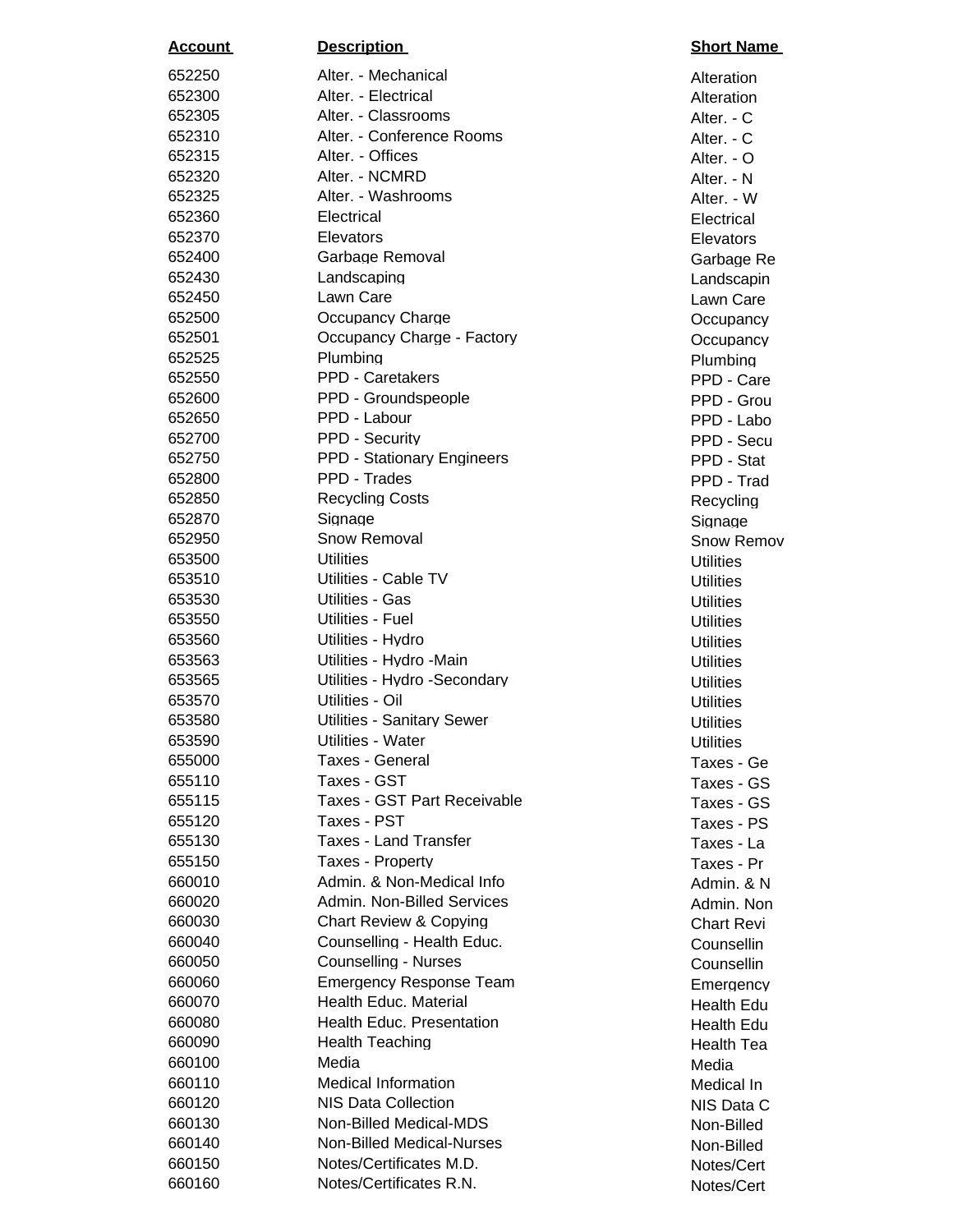| <u>Account</u>   | <b>Description</b>                                       | <b>Short Nan</b>       |
|------------------|----------------------------------------------------------|------------------------|
| 652250           | Alter. - Mechanical                                      | Alteration             |
| 652300           | Alter. - Electrical                                      | Alteration             |
| 652305           | Alter. - Classrooms                                      | Alter. - C             |
| 652310           | Alter. - Conference Rooms                                | Alter. - C             |
| 652315           | Alter. - Offices                                         | Alter. - O             |
| 652320           | Alter. - NCMRD                                           | Alter. - N             |
| 652325           | Alter. - Washrooms                                       | Alter. - W             |
| 652360           | Electrical                                               | Electrical             |
| 652370           | Elevators                                                | Elevators              |
| 652400           | Garbage Removal                                          | Garbage R              |
| 652430           | Landscaping                                              | Landscapi              |
| 652450           | Lawn Care                                                | Lawn Care              |
| 652500           | Occupancy Charge                                         | Occupanc               |
| 652501           | Occupancy Charge - Factory                               | Occupancy              |
| 652525           | Plumbing                                                 | Plumbing               |
| 652550           | PPD - Caretakers                                         | PPD - Car              |
| 652600           | PPD - Groundspeople                                      | PPD - Gro              |
| 652650           | PPD - Labour                                             | PPD - Lab              |
| 652700           | PPD - Security                                           | PPD - Sec              |
| 652750           | PPD - Stationary Engineers                               | PPD - Stat             |
| 652800           | PPD - Trades                                             | PPD - Tra              |
| 652850           | <b>Recycling Costs</b>                                   | Recycling              |
| 652870           | Signage                                                  | Signage                |
| 652950           | Snow Removal                                             | Snow Rem               |
| 653500           | <b>Utilities</b>                                         | <b>Utilities</b>       |
| 653510           | Utilities - Cable TV                                     | <b>Utilities</b>       |
| 653530           | Utilities - Gas                                          | <b>Utilities</b>       |
| 653550           | Utilities - Fuel                                         | <b>Utilities</b>       |
| 653560           | Utilities - Hydro                                        | <b>Utilities</b>       |
| 653563<br>653565 | Utilities - Hydro -Main<br>Utilities - Hydro - Secondary | <b>Utilities</b>       |
| 653570           |                                                          | <b>Utilities</b>       |
| 653580           | Utilities - Oil<br><b>Utilities - Sanitary Sewer</b>     | <b>Utilities</b>       |
| 653590           | Utilities - Water                                        | <b>Utilities</b>       |
| 655000           | Taxes - General                                          | <b>Utilities</b>       |
| 655110           | Taxes - GST                                              | Taxes - G<br>Taxes - G |
| 655115           | Taxes - GST Part Receivable                              | Taxes - G              |
| 655120           | Taxes - PST                                              | Taxes - PS             |
| 655130           | <b>Taxes - Land Transfer</b>                             | Taxes - La             |
| 655150           | Taxes - Property                                         | Taxes - Pr             |
| 660010           | Admin. & Non-Medical Info                                | Admin. & N             |
| 660020           | Admin. Non-Billed Services                               | Admin. No              |
| 660030           | <b>Chart Review &amp; Copying</b>                        | <b>Chart Revi</b>      |
| 660040           | Counselling - Health Educ.                               | Counsellin             |
| 660050           | <b>Counselling - Nurses</b>                              | Counsellin             |
| 660060           | <b>Emergency Response Team</b>                           | <b>Emergenc</b>        |
| 660070           | Health Educ. Material                                    | Health Edu             |
| 660080           | <b>Health Educ. Presentation</b>                         | Health Edu             |
| 660090           | <b>Health Teaching</b>                                   | <b>Health Tea</b>      |
| 660100           | Media                                                    | Media                  |
| 660110           | <b>Medical Information</b>                               | Medical In             |
| 660120           | NIS Data Collection                                      | NIS Data 0             |
| 660130           | Non-Billed Medical-MDS                                   | Non-Billed             |
| 660140           | Non-Billed Medical-Nurses                                | Non-Billed             |
| 660150           | Notes/Certificates M.D.                                  | Notes/Cert             |
| 660160           | Notes/Certificates R.N.                                  | Notes/Cert             |

**Alteration Alteration** Alter. - C Alter. - N Alter. - W **Elevators** Garbage Re Landscapin Lawn Care Occupancy Occupancy Plumbing PPD - Care PPD - Grou PPD - Labo PPD - Secu PPD - Stat PPD - Trad Recycling Snow Remov Taxes - Ge Taxes - GS Taxes - GS Taxes - PS Taxes - La Taxes - Pr Admin. & N Admin. Non-Chart Revi Counsellin **Emergency** Health Edu Health Edu Health Tea Medical In NIS Data C Non-Billed Notes/Cert Notes/Cert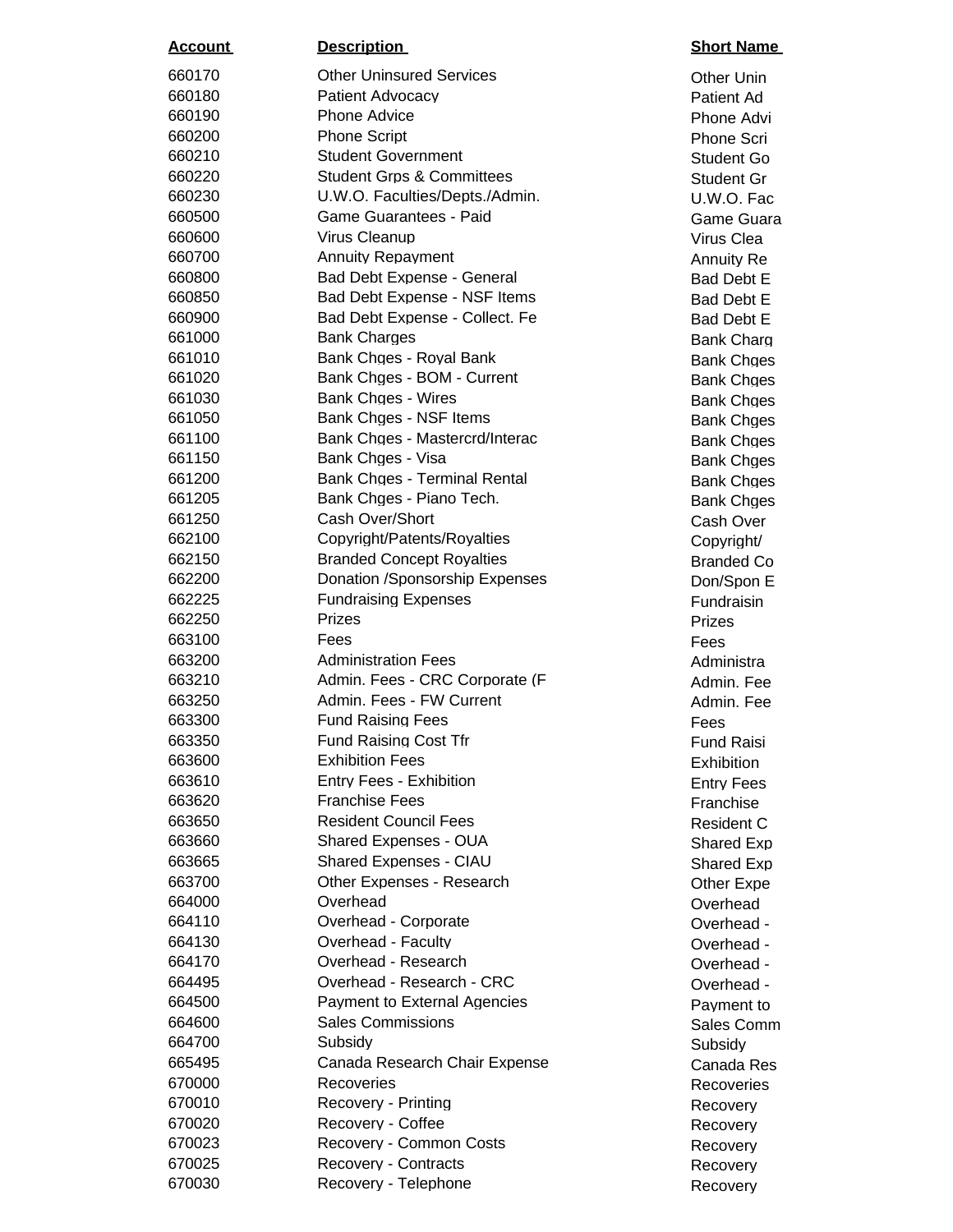| <u>Account</u>   | <b>Description</b>                   | <b>Short Nan</b>       |
|------------------|--------------------------------------|------------------------|
| 660170           | <b>Other Uninsured Services</b>      | <b>Other Unir</b>      |
| 660180           | Patient Advocacy                     | <b>Patient Ad</b>      |
| 660190           | <b>Phone Advice</b>                  | Phone Adv              |
| 660200           | <b>Phone Script</b>                  | <b>Phone Scr</b>       |
| 660210           | <b>Student Government</b>            | Student G              |
| 660220           | <b>Student Grps &amp; Committees</b> | Student G              |
| 660230           | U.W.O. Faculties/Depts./Admin.       | U.W.O. Fa              |
| 660500           | <b>Game Guarantees - Paid</b>        | Game Gua               |
| 660600           | Virus Cleanup                        | Virus Clea             |
| 660700           | <b>Annuity Repayment</b>             | <b>Annuity Re</b>      |
| 660800           | Bad Debt Expense - General           | Bad Debt I             |
| 660850           | Bad Debt Expense - NSF Items         | Bad Debt I             |
| 660900           | Bad Debt Expense - Collect. Fe       | Bad Debt I             |
| 661000           | <b>Bank Charges</b>                  | <b>Bank Char</b>       |
| 661010           | Bank Chges - Royal Bank              | <b>Bank Chge</b>       |
| 661020           | Bank Chges - BOM - Current           | <b>Bank Chge</b>       |
| 661030           | <b>Bank Chges - Wires</b>            | <b>Bank Chge</b>       |
| 661050           | Bank Chges - NSF Items               | <b>Bank Chge</b>       |
| 661100           | Bank Chges - Mastercrd/Interac       | <b>Bank Chge</b>       |
| 661150           | Bank Chges - Visa                    | <b>Bank Chge</b>       |
| 661200           | Bank Chges - Terminal Rental         | <b>Bank Chge</b>       |
| 661205           | Bank Chges - Piano Tech.             | <b>Bank Chge</b>       |
| 661250           | Cash Over/Short                      | Cash Over              |
| 662100           | Copyright/Patents/Royalties          | Copyright/             |
| 662150           | <b>Branded Concept Royalties</b>     | <b>Branded C</b>       |
| 662200           | Donation /Sponsorship Expenses       | Don/Spon               |
| 662225           | <b>Fundraising Expenses</b>          | Fundraisin             |
| 662250<br>663100 | <b>Prizes</b><br>Fees                | Prizes                 |
| 663200           | <b>Administration Fees</b>           | Fees                   |
| 663210           | Admin. Fees - CRC Corporate (F       | Administra             |
| 663250           | Admin. Fees - FW Current             | Admin. Fe<br>Admin. Fe |
| 663300           | <b>Fund Raising Fees</b>             | Fees                   |
| 663350           | <b>Fund Raising Cost Tfr</b>         | <b>Fund Rais</b>       |
| 663600           | <b>Exhibition Fees</b>               | Exhibition             |
| 663610           | <b>Entry Fees - Exhibition</b>       | <b>Entry Fees</b>      |
| 663620           | <b>Franchise Fees</b>                | Franchise              |
| 663650           | <b>Resident Council Fees</b>         | <b>Resident C</b>      |
| 663660           | Shared Expenses - OUA                | <b>Shared Ex</b>       |
| 663665           | Shared Expenses - CIAU               | Shared Ex              |
| 663700           | Other Expenses - Research            | Other Exp              |
| 664000           | Overhead                             | Overhead               |
| 664110           | Overhead - Corporate                 | Overhead               |
| 664130           | Overhead - Faculty                   | Overhead               |
| 664170           | Overhead - Research                  | Overhead               |
| 664495           | Overhead - Research - CRC            | Overhead               |
| 664500           | Payment to External Agencies         | Payment t              |
| 664600           | <b>Sales Commissions</b>             | Sales Con              |
| 664700           | Subsidy                              | Subsidy                |
| 665495           | Canada Research Chair Expense        | Canada Ro              |
| 670000           | Recoveries                           | Recoverie              |
| 670010           | Recovery - Printing                  | Recovery               |
| 670020           | Recovery - Coffee                    | Recovery               |
| 670023           | Recovery - Common Costs              | Recovery               |
| 670025           | <b>Recovery - Contracts</b>          | Recovery               |
| 670030           | Recovery - Telephone                 | Recovery               |

## **Short Name**

**Other Unin** Phone Advi Phone Scri Student Go Student Gr U.W.O. Fac Game Guara Virus Clea Annuity Re Bad Debt E Bad Debt E Bad Debt E Bank Charg Bank Chges Bank Chges **Bank Chges** Bank Chges Bank Chges Bank Chges Bank Chges Bank Chges Cash Over Copyright/ Branded Co Don/Spon E **Fundraisin Administra** Admin. Fee Admin. Fee **Fund Raisi Exhibition Entry Fees Franchise** Resident C Shared Exp Shared Exp Other Expe Overhead -Overhead -Overhead -Overhead -Payment to Sales Comm Canada Res **Recoveries** Recovery Recovery